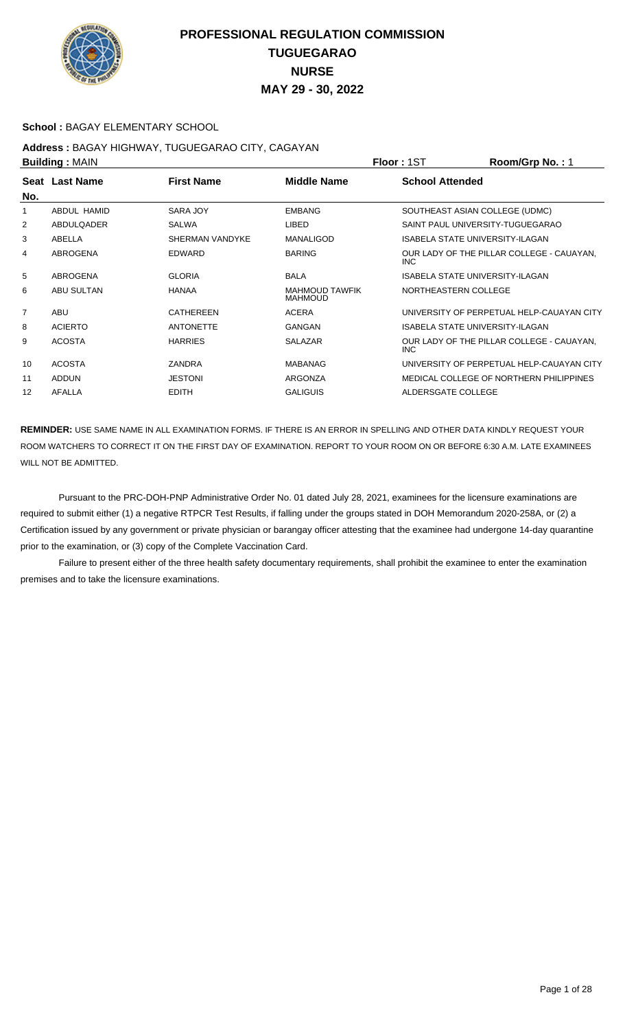

### **School :** BAGAY ELEMENTARY SCHOOL

#### **Address :** BAGAY HIGHWAY, TUGUEGARAO CITY, CAGAYAN **Building :** MAIN **Floor :** 1ST **Room/Grp No. :** 1

|                | <b>DUILUILLY</b> ULAIN |                        |                                         | ו טיו. וטשו<br>1.00111011111011111                |
|----------------|------------------------|------------------------|-----------------------------------------|---------------------------------------------------|
| No.            | Seat Last Name         | <b>First Name</b>      | <b>Middle Name</b>                      | <b>School Attended</b>                            |
| 1              | ABDUL HAMID            | SARA JOY               | <b>EMBANG</b>                           | SOUTHEAST ASIAN COLLEGE (UDMC)                    |
| 2              | <b>ABDULQADER</b>      | SALWA                  | <b>LIBED</b>                            | SAINT PAUL UNIVERSITY-TUGUEGARAO                  |
| 3              | ABELLA                 | <b>SHERMAN VANDYKE</b> | <b>MANALIGOD</b>                        | <b>ISABELA STATE UNIVERSITY-ILAGAN</b>            |
| 4              | <b>ABROGENA</b>        | <b>EDWARD</b>          | <b>BARING</b>                           | OUR LADY OF THE PILLAR COLLEGE - CAUAYAN.<br>INC. |
| 5              | <b>ABROGENA</b>        | <b>GLORIA</b>          | <b>BALA</b>                             | <b>ISABELA STATE UNIVERSITY-ILAGAN</b>            |
| 6              | <b>ABU SULTAN</b>      | <b>HANAA</b>           | <b>MAHMOUD TAWFIK</b><br><b>MAHMOUD</b> | NORTHEASTERN COLLEGE                              |
| $\overline{7}$ | ABU                    | <b>CATHEREEN</b>       | <b>ACERA</b>                            | UNIVERSITY OF PERPETUAL HELP-CAUAYAN CITY         |
| 8              | <b>ACIERTO</b>         | <b>ANTONETTE</b>       | <b>GANGAN</b>                           | <b>ISABELA STATE UNIVERSITY-ILAGAN</b>            |
| 9              | <b>ACOSTA</b>          | <b>HARRIES</b>         | <b>SALAZAR</b>                          | OUR LADY OF THE PILLAR COLLEGE - CAUAYAN.<br>INC. |
| 10             | <b>ACOSTA</b>          | <b>ZANDRA</b>          | <b>MABANAG</b>                          | UNIVERSITY OF PERPETUAL HELP-CAUAYAN CITY         |
| 11             | <b>ADDUN</b>           | <b>JESTONI</b>         | ARGONZA                                 | MEDICAL COLLEGE OF NORTHERN PHILIPPINES           |
| 12             | <b>AFALLA</b>          | <b>EDITH</b>           | <b>GALIGUIS</b>                         | ALDERSGATE COLLEGE                                |
|                |                        |                        |                                         |                                                   |

**REMINDER:** USE SAME NAME IN ALL EXAMINATION FORMS. IF THERE IS AN ERROR IN SPELLING AND OTHER DATA KINDLY REQUEST YOUR ROOM WATCHERS TO CORRECT IT ON THE FIRST DAY OF EXAMINATION. REPORT TO YOUR ROOM ON OR BEFORE 6:30 A.M. LATE EXAMINEES WILL NOT BE ADMITTED.

 Pursuant to the PRC-DOH-PNP Administrative Order No. 01 dated July 28, 2021, examinees for the licensure examinations are required to submit either (1) a negative RTPCR Test Results, if falling under the groups stated in DOH Memorandum 2020-258A, or (2) a Certification issued by any government or private physician or barangay officer attesting that the examinee had undergone 14-day quarantine prior to the examination, or (3) copy of the Complete Vaccination Card.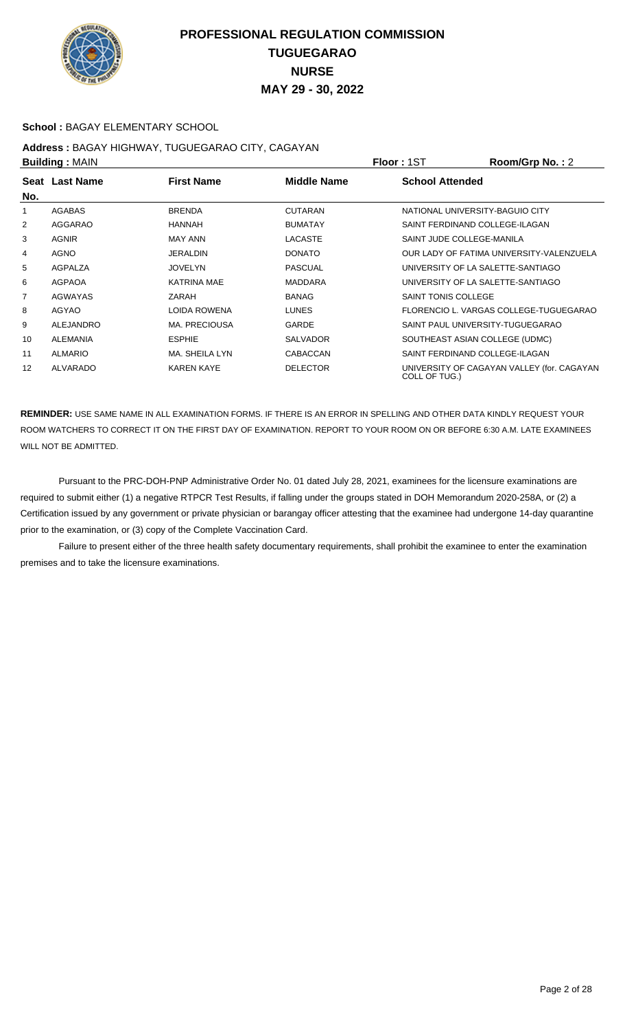

### **School :** BAGAY ELEMENTARY SCHOOL

# **Address :** BAGAY HIGHWAY, TUGUEGARAO CITY, CAGAYAN

| <b>Building: MAIN</b> |                 |                      | <b>Floor: 1ST</b>  | Room/Grp No.: 2            |                                            |
|-----------------------|-----------------|----------------------|--------------------|----------------------------|--------------------------------------------|
| No.                   | Seat Last Name  | <b>First Name</b>    | <b>Middle Name</b> | <b>School Attended</b>     |                                            |
| 1                     | AGABAS          | <b>BRENDA</b>        | <b>CUTARAN</b>     |                            | NATIONAL UNIVERSITY-BAGUIO CITY            |
| 2                     | <b>AGGARAO</b>  | <b>HANNAH</b>        | <b>BUMATAY</b>     |                            | SAINT FERDINAND COLLEGE-ILAGAN             |
| 3                     | <b>AGNIR</b>    | <b>MAY ANN</b>       | <b>LACASTE</b>     |                            | SAINT JUDE COLLEGE-MANILA                  |
| 4                     | <b>AGNO</b>     | JERALDIN             | <b>DONATO</b>      |                            | OUR LADY OF FATIMA UNIVERSITY-VALENZUELA   |
| 5                     | AGPALZA         | <b>JOVELYN</b>       | <b>PASCUAL</b>     |                            | UNIVERSITY OF LA SALETTE-SANTIAGO          |
| 6                     | <b>AGPAOA</b>   | <b>KATRINA MAE</b>   | <b>MADDARA</b>     |                            | UNIVERSITY OF LA SALETTE-SANTIAGO          |
| 7                     | <b>AGWAYAS</b>  | ZARAH                | <b>BANAG</b>       | <b>SAINT TONIS COLLEGE</b> |                                            |
| 8                     | AGYAO           | LOIDA ROWENA         | <b>LUNES</b>       |                            | FLORENCIO L. VARGAS COLLEGE-TUGUEGARAO     |
| 9                     | ALEJANDRO       | <b>MA. PRECIOUSA</b> | <b>GARDE</b>       |                            | SAINT PAUL UNIVERSITY-TUGUEGARAO           |
| 10                    | <b>ALEMANIA</b> | <b>ESPHIE</b>        | <b>SALVADOR</b>    |                            | SOUTHEAST ASIAN COLLEGE (UDMC)             |
| 11                    | <b>ALMARIO</b>  | MA. SHEILA LYN       | <b>CABACCAN</b>    |                            | SAINT FERDINAND COLLEGE-ILAGAN             |
| 12                    | <b>ALVARADO</b> | <b>KAREN KAYE</b>    | <b>DELECTOR</b>    | COLL OF TUG.)              | UNIVERSITY OF CAGAYAN VALLEY (for. CAGAYAN |

**REMINDER:** USE SAME NAME IN ALL EXAMINATION FORMS. IF THERE IS AN ERROR IN SPELLING AND OTHER DATA KINDLY REQUEST YOUR ROOM WATCHERS TO CORRECT IT ON THE FIRST DAY OF EXAMINATION. REPORT TO YOUR ROOM ON OR BEFORE 6:30 A.M. LATE EXAMINEES WILL NOT BE ADMITTED.

 Pursuant to the PRC-DOH-PNP Administrative Order No. 01 dated July 28, 2021, examinees for the licensure examinations are required to submit either (1) a negative RTPCR Test Results, if falling under the groups stated in DOH Memorandum 2020-258A, or (2) a Certification issued by any government or private physician or barangay officer attesting that the examinee had undergone 14-day quarantine prior to the examination, or (3) copy of the Complete Vaccination Card.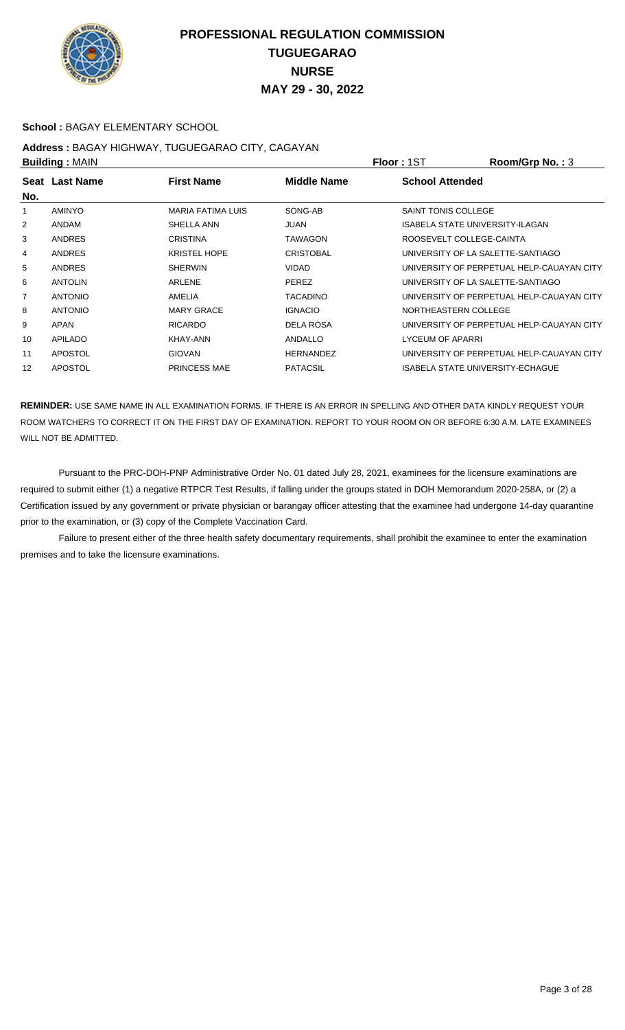

### **School :** BAGAY ELEMENTARY SCHOOL

# **Address :** BAGAY HIGHWAY, TUGUEGARAO CITY, CAGAYAN

| <b>Building: MAIN</b> |                |                          |                  | <b>Floor: 1ST</b>          | Room/Grp No.: 3                           |
|-----------------------|----------------|--------------------------|------------------|----------------------------|-------------------------------------------|
|                       | Seat Last Name | <b>First Name</b>        | Middle Name      | <b>School Attended</b>     |                                           |
| No.                   |                |                          |                  |                            |                                           |
| 1                     | <b>AMINYO</b>  | <b>MARIA FATIMA LUIS</b> | SONG-AB          | <b>SAINT TONIS COLLEGE</b> |                                           |
| 2                     | <b>ANDAM</b>   | SHELLA ANN               | JUAN             |                            | ISABELA STATE UNIVERSITY-ILAGAN           |
| 3                     | ANDRES         | <b>CRISTINA</b>          | <b>TAWAGON</b>   | ROOSEVELT COLLEGE-CAINTA   |                                           |
| 4                     | <b>ANDRES</b>  | <b>KRISTEL HOPE</b>      | <b>CRISTOBAL</b> |                            | UNIVERSITY OF LA SALETTE-SANTIAGO         |
| 5                     | ANDRES         | <b>SHERWIN</b>           | <b>VIDAD</b>     |                            | UNIVERSITY OF PERPETUAL HELP-CAUAYAN CITY |
| 6                     | <b>ANTOLIN</b> | ARLENE                   | <b>PEREZ</b>     |                            | UNIVERSITY OF LA SALETTE-SANTIAGO         |
| $\overline{7}$        | <b>ANTONIO</b> | AMELIA                   | <b>TACADINO</b>  |                            | UNIVERSITY OF PERPETUAL HELP-CAUAYAN CITY |
| 8                     | <b>ANTONIO</b> | <b>MARY GRACE</b>        | <b>IGNACIO</b>   | NORTHEASTERN COLLEGE       |                                           |
| 9                     | APAN           | <b>RICARDO</b>           | <b>DELA ROSA</b> |                            | UNIVERSITY OF PERPETUAL HELP-CAUAYAN CITY |
| 10                    | <b>APILADO</b> | KHAY-ANN                 | ANDALLO          | <b>LYCEUM OF APARRI</b>    |                                           |
| 11                    | <b>APOSTOL</b> | <b>GIOVAN</b>            | <b>HERNANDEZ</b> |                            | UNIVERSITY OF PERPETUAL HELP-CAUAYAN CITY |
| 12                    | <b>APOSTOL</b> | <b>PRINCESS MAE</b>      | <b>PATACSIL</b>  |                            | <b>ISABELA STATE UNIVERSITY-ECHAGUE</b>   |
|                       |                |                          |                  |                            |                                           |

**REMINDER:** USE SAME NAME IN ALL EXAMINATION FORMS. IF THERE IS AN ERROR IN SPELLING AND OTHER DATA KINDLY REQUEST YOUR ROOM WATCHERS TO CORRECT IT ON THE FIRST DAY OF EXAMINATION. REPORT TO YOUR ROOM ON OR BEFORE 6:30 A.M. LATE EXAMINEES WILL NOT BE ADMITTED.

 Pursuant to the PRC-DOH-PNP Administrative Order No. 01 dated July 28, 2021, examinees for the licensure examinations are required to submit either (1) a negative RTPCR Test Results, if falling under the groups stated in DOH Memorandum 2020-258A, or (2) a Certification issued by any government or private physician or barangay officer attesting that the examinee had undergone 14-day quarantine prior to the examination, or (3) copy of the Complete Vaccination Card.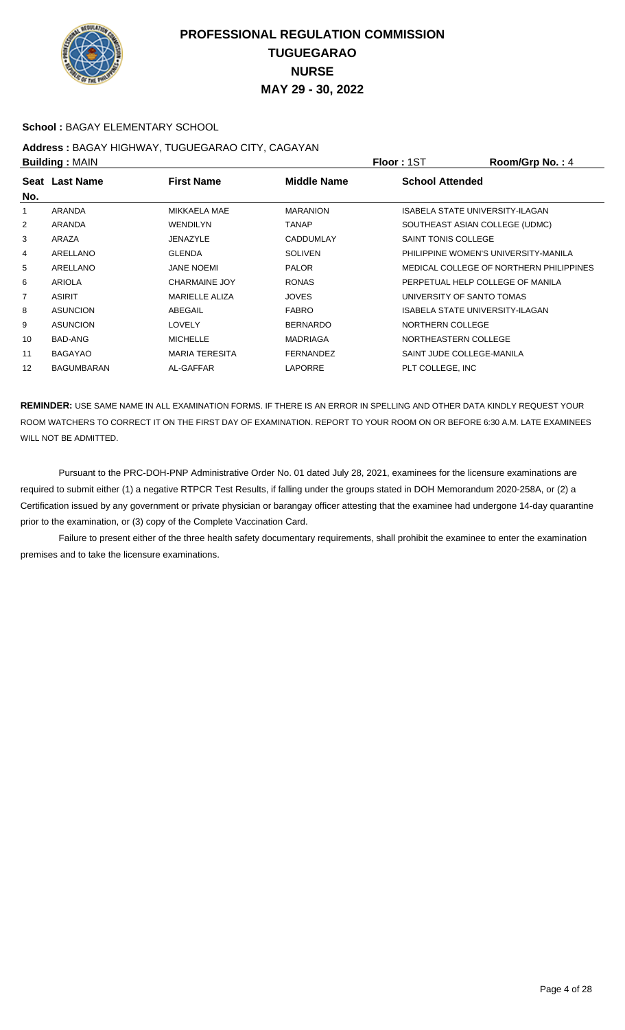

### **School :** BAGAY ELEMENTARY SCHOOL

# **Address :** BAGAY HIGHWAY, TUGUEGARAO CITY, CAGAYAN

| <b>Building: MAIN</b> |                   |                       | <b>Floor: 1ST</b> | Room/Grp No.: 4            |                                         |
|-----------------------|-------------------|-----------------------|-------------------|----------------------------|-----------------------------------------|
|                       | Seat Last Name    | <b>First Name</b>     | Middle Name       | <b>School Attended</b>     |                                         |
| No.                   |                   |                       |                   |                            |                                         |
|                       | <b>ARANDA</b>     | MIKKAELA MAE          | <b>MARANION</b>   |                            | <b>ISABELA STATE UNIVERSITY-ILAGAN</b>  |
| $\overline{2}$        | <b>ARANDA</b>     | <b>WENDILYN</b>       | <b>TANAP</b>      |                            | SOUTHEAST ASIAN COLLEGE (UDMC)          |
| 3                     | ARAZA             | <b>JENAZYLE</b>       | <b>CADDUMLAY</b>  | <b>SAINT TONIS COLLEGE</b> |                                         |
| 4                     | ARELLANO          | <b>GLENDA</b>         | <b>SOLIVEN</b>    |                            | PHILIPPINE WOMEN'S UNIVERSITY-MANILA    |
| 5                     | ARELLANO          | <b>JANE NOEMI</b>     | <b>PALOR</b>      |                            | MEDICAL COLLEGE OF NORTHERN PHILIPPINES |
| 6                     | <b>ARIOLA</b>     | <b>CHARMAINE JOY</b>  | <b>RONAS</b>      |                            | PERPETUAL HELP COLLEGE OF MANILA        |
| 7                     | <b>ASIRIT</b>     | <b>MARIELLE ALIZA</b> | <b>JOVES</b>      |                            | UNIVERSITY OF SANTO TOMAS               |
| 8                     | <b>ASUNCION</b>   | ABEGAIL               | <b>FABRO</b>      |                            | ISABELA STATE UNIVERSITY-ILAGAN         |
| 9                     | <b>ASUNCION</b>   | <b>LOVELY</b>         | <b>BERNARDO</b>   | NORTHERN COLLEGE           |                                         |
| 10                    | BAD-ANG           | <b>MICHELLE</b>       | <b>MADRIAGA</b>   | NORTHEASTERN COLLEGE       |                                         |
| 11                    | <b>BAGAYAO</b>    | <b>MARIA TERESITA</b> | <b>FERNANDEZ</b>  |                            | SAINT JUDE COLLEGE-MANILA               |
| 12                    | <b>BAGUMBARAN</b> | AL-GAFFAR             | <b>LAPORRE</b>    | PLT COLLEGE, INC           |                                         |
|                       |                   |                       |                   |                            |                                         |

**REMINDER:** USE SAME NAME IN ALL EXAMINATION FORMS. IF THERE IS AN ERROR IN SPELLING AND OTHER DATA KINDLY REQUEST YOUR ROOM WATCHERS TO CORRECT IT ON THE FIRST DAY OF EXAMINATION. REPORT TO YOUR ROOM ON OR BEFORE 6:30 A.M. LATE EXAMINEES WILL NOT BE ADMITTED.

 Pursuant to the PRC-DOH-PNP Administrative Order No. 01 dated July 28, 2021, examinees for the licensure examinations are required to submit either (1) a negative RTPCR Test Results, if falling under the groups stated in DOH Memorandum 2020-258A, or (2) a Certification issued by any government or private physician or barangay officer attesting that the examinee had undergone 14-day quarantine prior to the examination, or (3) copy of the Complete Vaccination Card.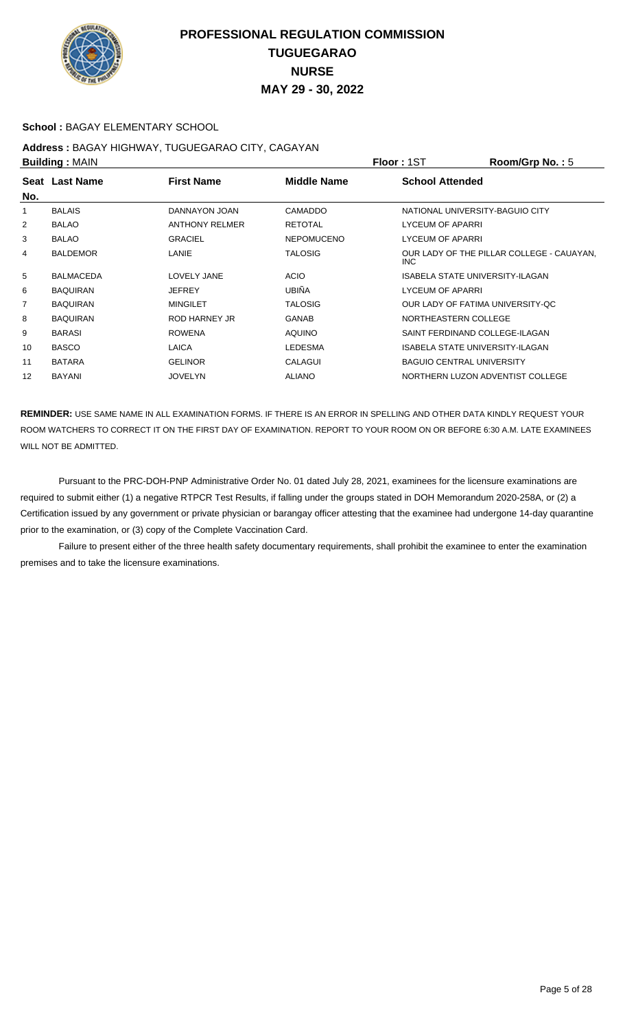

### **School :** BAGAY ELEMENTARY SCHOOL

# **Address :** BAGAY HIGHWAY, TUGUEGARAO CITY, CAGAYAN

| <b>Building: MAIN</b> |                  |                       |                    | Room/Grp No.: 5<br><b>Floor: 1ST</b> |                                           |
|-----------------------|------------------|-----------------------|--------------------|--------------------------------------|-------------------------------------------|
|                       | Seat Last Name   | <b>First Name</b>     | <b>Middle Name</b> | <b>School Attended</b>               |                                           |
| No.                   |                  |                       |                    |                                      |                                           |
|                       | <b>BALAIS</b>    | DANNAYON JOAN         | <b>CAMADDO</b>     | NATIONAL UNIVERSITY-BAGUIO CITY      |                                           |
| 2                     | <b>BALAO</b>     | <b>ANTHONY RELMER</b> | <b>RETOTAL</b>     | LYCEUM OF APARRI                     |                                           |
| 3                     | <b>BALAO</b>     | <b>GRACIEL</b>        | <b>NEPOMUCENO</b>  | LYCEUM OF APARRI                     |                                           |
| 4                     | <b>BALDEMOR</b>  | LANIE                 | <b>TALOSIG</b>     | INC.                                 | OUR LADY OF THE PILLAR COLLEGE - CAUAYAN, |
| 5                     | <b>BALMACEDA</b> | LOVELY JANE           | <b>ACIO</b>        | ISABELA STATE UNIVERSITY-ILAGAN      |                                           |
| 6                     | <b>BAQUIRAN</b>  | <b>JEFREY</b>         | <b>UBIÑA</b>       | LYCEUM OF APARRI                     |                                           |
| 7                     | <b>BAQUIRAN</b>  | <b>MINGILET</b>       | <b>TALOSIG</b>     | OUR LADY OF FATIMA UNIVERSITY-QC     |                                           |
| 8                     | <b>BAQUIRAN</b>  | ROD HARNEY JR         | <b>GANAB</b>       | NORTHEASTERN COLLEGE                 |                                           |
| 9                     | <b>BARASI</b>    | <b>ROWENA</b>         | <b>AQUINO</b>      | SAINT FERDINAND COLLEGE-ILAGAN       |                                           |
| 10                    | <b>BASCO</b>     | LAICA                 | <b>LEDESMA</b>     | ISABELA STATE UNIVERSITY-ILAGAN      |                                           |
| 11                    | <b>BATARA</b>    | <b>GELINOR</b>        | CALAGUI            | <b>BAGUIO CENTRAL UNIVERSITY</b>     |                                           |
| 12                    | BAYANI           | <b>JOVELYN</b>        | <b>ALIANO</b>      | NORTHERN LUZON ADVENTIST COLLEGE     |                                           |

**REMINDER:** USE SAME NAME IN ALL EXAMINATION FORMS. IF THERE IS AN ERROR IN SPELLING AND OTHER DATA KINDLY REQUEST YOUR ROOM WATCHERS TO CORRECT IT ON THE FIRST DAY OF EXAMINATION. REPORT TO YOUR ROOM ON OR BEFORE 6:30 A.M. LATE EXAMINEES WILL NOT BE ADMITTED.

 Pursuant to the PRC-DOH-PNP Administrative Order No. 01 dated July 28, 2021, examinees for the licensure examinations are required to submit either (1) a negative RTPCR Test Results, if falling under the groups stated in DOH Memorandum 2020-258A, or (2) a Certification issued by any government or private physician or barangay officer attesting that the examinee had undergone 14-day quarantine prior to the examination, or (3) copy of the Complete Vaccination Card.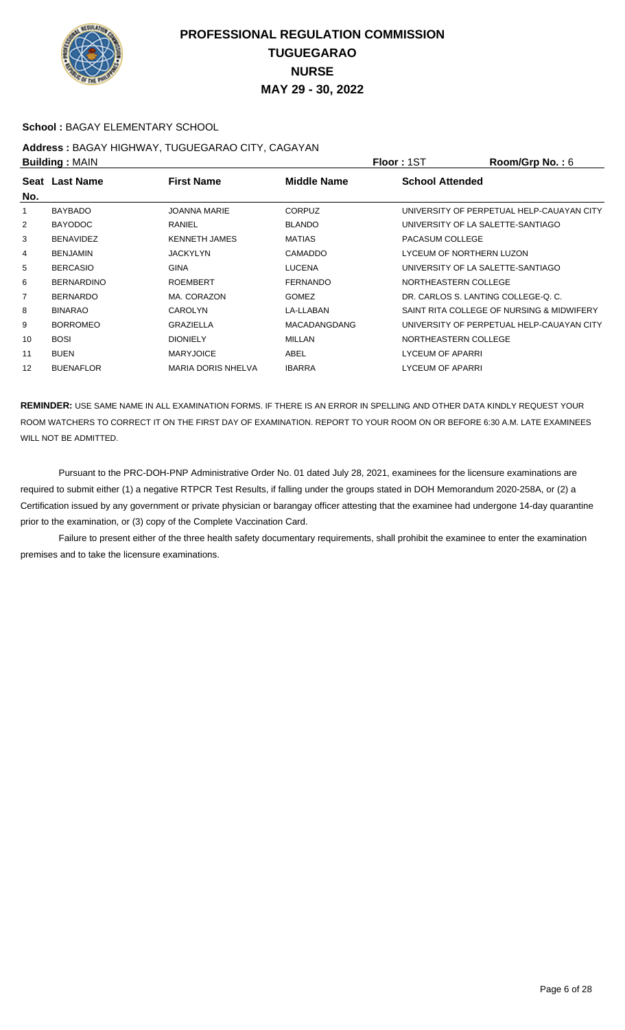

#### **School :** BAGAY ELEMENTARY SCHOOL

# **Address :** BAGAY HIGHWAY, TUGUEGARAO CITY, CAGAYAN

| <b>Building: MAIN</b> |                   |                           |                     | <b>Floor: 1ST</b>                   | Room/Grp No.: 6                           |
|-----------------------|-------------------|---------------------------|---------------------|-------------------------------------|-------------------------------------------|
|                       | Seat Last Name    | <b>First Name</b>         | Middle Name         | <b>School Attended</b>              |                                           |
| No.                   |                   |                           |                     |                                     |                                           |
|                       | <b>BAYBADO</b>    | <b>JOANNA MARIE</b>       | <b>CORPUZ</b>       |                                     | UNIVERSITY OF PERPETUAL HELP-CAUAYAN CITY |
| 2                     | <b>BAYODOC</b>    | RANIEL                    | <b>BLANDO</b>       | UNIVERSITY OF LA SALETTE-SANTIAGO   |                                           |
| 3                     | <b>BENAVIDEZ</b>  | <b>KENNETH JAMES</b>      | <b>MATIAS</b>       | PACASUM COLLEGE                     |                                           |
| 4                     | <b>BENJAMIN</b>   | <b>JACKYLYN</b>           | <b>CAMADDO</b>      | LYCEUM OF NORTHERN LUZON            |                                           |
| 5                     | <b>BERCASIO</b>   | <b>GINA</b>               | <b>LUCENA</b>       | UNIVERSITY OF LA SALETTE-SANTIAGO   |                                           |
| 6                     | <b>BERNARDINO</b> | <b>ROEMBERT</b>           | <b>FERNANDO</b>     | NORTHEASTERN COLLEGE                |                                           |
| 7                     | <b>BERNARDO</b>   | MA. CORAZON               | <b>GOMEZ</b>        | DR. CARLOS S. LANTING COLLEGE-Q. C. |                                           |
| 8                     | <b>BINARAO</b>    | CAROLYN                   | LA-LLABAN           |                                     | SAINT RITA COLLEGE OF NURSING & MIDWIFERY |
| 9                     | <b>BORROMEO</b>   | GRAZIELLA                 | <b>MACADANGDANG</b> |                                     | UNIVERSITY OF PERPETUAL HELP-CAUAYAN CITY |
| 10                    | <b>BOSI</b>       | <b>DIONIELY</b>           | <b>MILLAN</b>       | NORTHEASTERN COLLEGE                |                                           |
| 11                    | <b>BUEN</b>       | <b>MARYJOICE</b>          | ABEL                | LYCEUM OF APARRI                    |                                           |
| 12                    | <b>BUENAFLOR</b>  | <b>MARIA DORIS NHELVA</b> | <b>IBARRA</b>       | LYCEUM OF APARRI                    |                                           |
|                       |                   |                           |                     |                                     |                                           |

**REMINDER:** USE SAME NAME IN ALL EXAMINATION FORMS. IF THERE IS AN ERROR IN SPELLING AND OTHER DATA KINDLY REQUEST YOUR ROOM WATCHERS TO CORRECT IT ON THE FIRST DAY OF EXAMINATION. REPORT TO YOUR ROOM ON OR BEFORE 6:30 A.M. LATE EXAMINEES WILL NOT BE ADMITTED.

 Pursuant to the PRC-DOH-PNP Administrative Order No. 01 dated July 28, 2021, examinees for the licensure examinations are required to submit either (1) a negative RTPCR Test Results, if falling under the groups stated in DOH Memorandum 2020-258A, or (2) a Certification issued by any government or private physician or barangay officer attesting that the examinee had undergone 14-day quarantine prior to the examination, or (3) copy of the Complete Vaccination Card.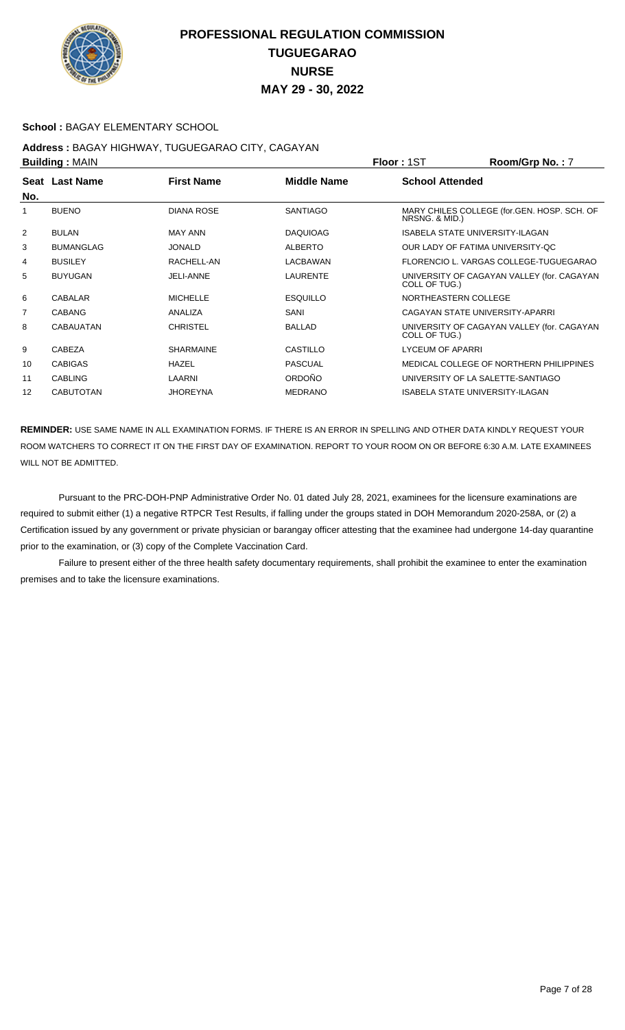

## **School :** BAGAY ELEMENTARY SCHOOL

#### **Address :** BAGAY HIGHWAY, TUGUEGARAO CITY, CAGAYAN **Building :** MAIN **Floor :** 1ST **Room/Grp No. :** 7

|     | <b>DUILUILLY</b> ULAIN |                   |                    | 1 IUU 1 1 U 1                                                 |
|-----|------------------------|-------------------|--------------------|---------------------------------------------------------------|
| No. | Seat Last Name         | <b>First Name</b> | <b>Middle Name</b> | <b>School Attended</b>                                        |
| 1   | <b>BUENO</b>           | <b>DIANA ROSE</b> | <b>SANTIAGO</b>    | MARY CHILES COLLEGE (for.GEN. HOSP. SCH. OF<br>NRSNG. & MID.) |
| 2   | <b>BULAN</b>           | <b>MAY ANN</b>    | <b>DAQUIOAG</b>    | ISABELA STATE UNIVERSITY-ILAGAN                               |
| 3   | <b>BUMANGLAG</b>       | <b>JONALD</b>     | <b>ALBERTO</b>     | OUR LADY OF FATIMA UNIVERSITY-QC                              |
| 4   | <b>BUSILEY</b>         | RACHELL-AN        | LACBAWAN           | FLORENCIO L. VARGAS COLLEGE-TUGUEGARAO                        |
| 5   | <b>BUYUGAN</b>         | <b>JELI-ANNE</b>  | <b>LAURENTE</b>    | UNIVERSITY OF CAGAYAN VALLEY (for. CAGAYAN<br>COLL OF TUG.)   |
| 6   | <b>CABALAR</b>         | <b>MICHELLE</b>   | <b>ESQUILLO</b>    | NORTHEASTERN COLLEGE                                          |
| 7   | <b>CABANG</b>          | ANALIZA           | SANI               | CAGAYAN STATE UNIVERSITY-APARRI                               |
| 8   | <b>CABAUATAN</b>       | <b>CHRISTEL</b>   | <b>BALLAD</b>      | UNIVERSITY OF CAGAYAN VALLEY (for. CAGAYAN<br>COLL OF TUG.)   |
| 9   | CABEZA                 | <b>SHARMAINE</b>  | <b>CASTILLO</b>    | <b>LYCEUM OF APARRI</b>                                       |
| 10  | <b>CABIGAS</b>         | <b>HAZEL</b>      | <b>PASCUAL</b>     | MEDICAL COLLEGE OF NORTHERN PHILIPPINES                       |
| 11  | <b>CABLING</b>         | LAARNI            | <b>ORDOÑO</b>      | UNIVERSITY OF LA SALETTE-SANTIAGO                             |
| 12  | <b>CABUTOTAN</b>       | <b>JHOREYNA</b>   | <b>MEDRANO</b>     | <b>ISABELA STATE UNIVERSITY-ILAGAN</b>                        |
|     |                        |                   |                    |                                                               |

**REMINDER:** USE SAME NAME IN ALL EXAMINATION FORMS. IF THERE IS AN ERROR IN SPELLING AND OTHER DATA KINDLY REQUEST YOUR ROOM WATCHERS TO CORRECT IT ON THE FIRST DAY OF EXAMINATION. REPORT TO YOUR ROOM ON OR BEFORE 6:30 A.M. LATE EXAMINEES WILL NOT BE ADMITTED.

 Pursuant to the PRC-DOH-PNP Administrative Order No. 01 dated July 28, 2021, examinees for the licensure examinations are required to submit either (1) a negative RTPCR Test Results, if falling under the groups stated in DOH Memorandum 2020-258A, or (2) a Certification issued by any government or private physician or barangay officer attesting that the examinee had undergone 14-day quarantine prior to the examination, or (3) copy of the Complete Vaccination Card.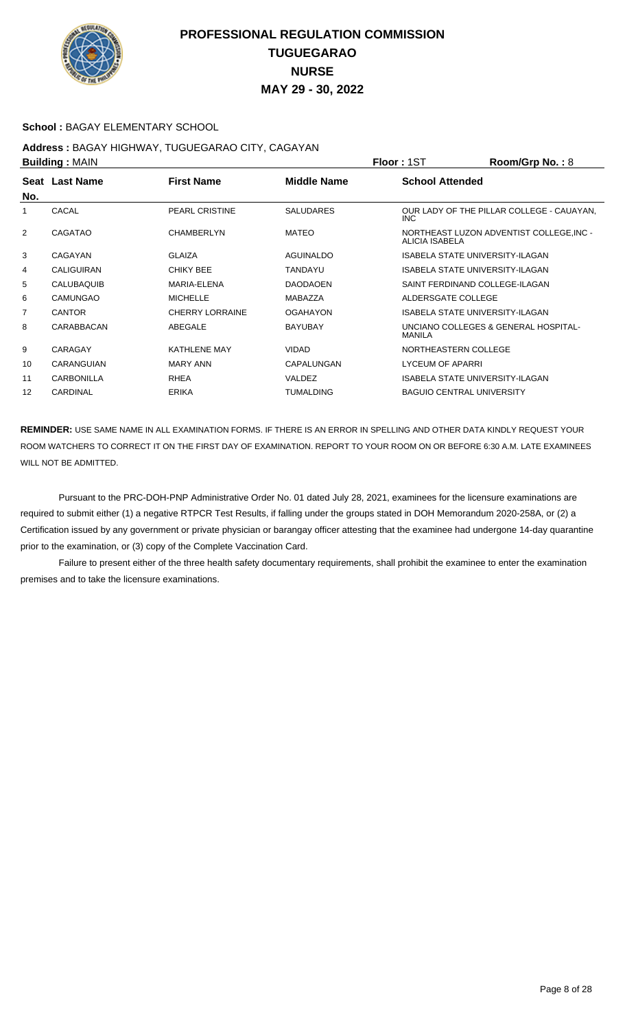

### **School :** BAGAY ELEMENTARY SCHOOL

#### **Address :** BAGAY HIGHWAY, TUGUEGARAO CITY, CAGAYAN **Building :** MAIN **Floor :** 1ST **Room/Grp No. :** 8

| No.            | Seat Last Name    | <b>First Name</b>      | <b>Middle Name</b> | <b>School Attended</b>                                    |
|----------------|-------------------|------------------------|--------------------|-----------------------------------------------------------|
|                | CACAL             | <b>PEARL CRISTINE</b>  | <b>SALUDARES</b>   | OUR LADY OF THE PILLAR COLLEGE - CAUAYAN.<br>INC.         |
| $\overline{2}$ | CAGATAO           | <b>CHAMBERLYN</b>      | MATEO              | NORTHEAST LUZON ADVENTIST COLLEGE.INC -<br>ALICIA ISABELA |
| 3              | CAGAYAN           | <b>GLAIZA</b>          | AGUINALDO          | ISABELA STATE UNIVERSITY-ILAGAN                           |
| 4              | <b>CALIGUIRAN</b> | <b>CHIKY BEE</b>       | <b>TANDAYU</b>     | <b>ISABELA STATE UNIVERSITY-ILAGAN</b>                    |
| 5              | CALUBAQUIB        | MARIA-ELENA            | <b>DAODAOEN</b>    | SAINT FERDINAND COLLEGE-ILAGAN                            |
| 6              | <b>CAMUNGAO</b>   | <b>MICHELLE</b>        | <b>MABAZZA</b>     | ALDERSGATE COLLEGE                                        |
| $\overline{7}$ | <b>CANTOR</b>     | <b>CHERRY LORRAINE</b> | <b>OGAHAYON</b>    | <b>ISABELA STATE UNIVERSITY-ILAGAN</b>                    |
| 8              | CARABBACAN        | ABEGALE                | <b>BAYUBAY</b>     | UNCIANO COLLEGES & GENERAL HOSPITAL-<br>MANILA            |
| 9              | CARAGAY           | <b>KATHLENE MAY</b>    | <b>VIDAD</b>       | NORTHEASTERN COLLEGE                                      |
| 10             | CARANGUIAN        | MARY ANN               | CAPALUNGAN         | <b>LYCEUM OF APARRI</b>                                   |
| 11             | <b>CARBONILLA</b> | <b>RHEA</b>            | VALDEZ             | ISABELA STATE UNIVERSITY-ILAGAN                           |
| 12             | <b>CARDINAL</b>   | <b>ERIKA</b>           | <b>TUMALDING</b>   | <b>BAGUIO CENTRAL UNIVERSITY</b>                          |

**REMINDER:** USE SAME NAME IN ALL EXAMINATION FORMS. IF THERE IS AN ERROR IN SPELLING AND OTHER DATA KINDLY REQUEST YOUR ROOM WATCHERS TO CORRECT IT ON THE FIRST DAY OF EXAMINATION. REPORT TO YOUR ROOM ON OR BEFORE 6:30 A.M. LATE EXAMINEES WILL NOT BE ADMITTED.

 Pursuant to the PRC-DOH-PNP Administrative Order No. 01 dated July 28, 2021, examinees for the licensure examinations are required to submit either (1) a negative RTPCR Test Results, if falling under the groups stated in DOH Memorandum 2020-258A, or (2) a Certification issued by any government or private physician or barangay officer attesting that the examinee had undergone 14-day quarantine prior to the examination, or (3) copy of the Complete Vaccination Card.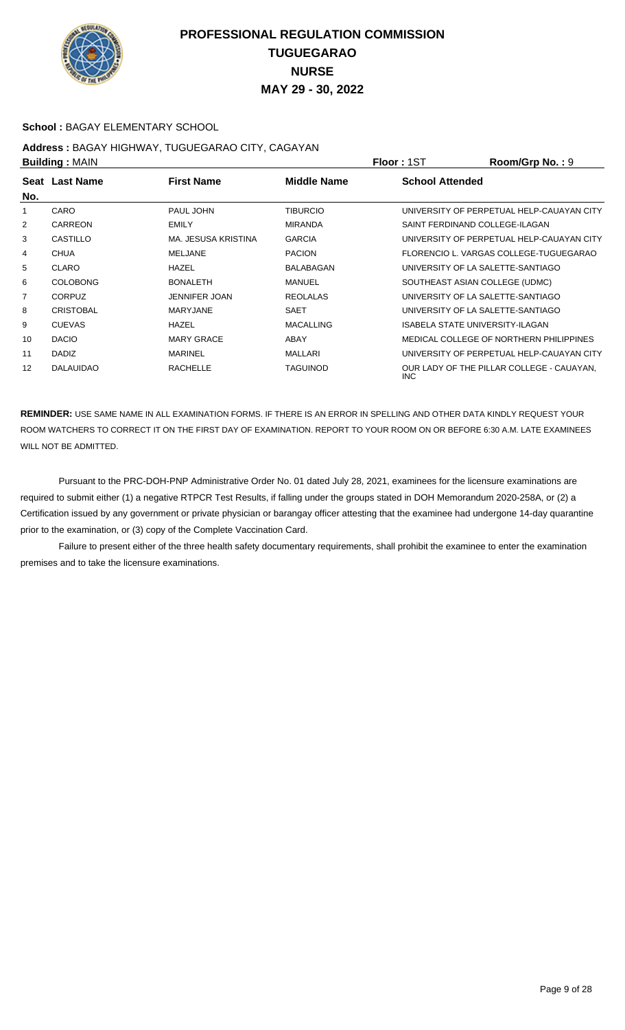

### **School :** BAGAY ELEMENTARY SCHOOL

# **Address :** BAGAY HIGHWAY, TUGUEGARAO CITY, CAGAYAN

|                | <b>Building: MAIN</b> |                      | <b>Floor: 1ST</b>  | Room/Grp No.: 9        |                                           |
|----------------|-----------------------|----------------------|--------------------|------------------------|-------------------------------------------|
|                | Seat Last Name        | <b>First Name</b>    | <b>Middle Name</b> | <b>School Attended</b> |                                           |
| No.            |                       |                      |                    |                        |                                           |
|                | CARO                  | PAUL JOHN            | <b>TIBURCIO</b>    |                        | UNIVERSITY OF PERPETUAL HELP-CAUAYAN CITY |
| 2              | <b>CARREON</b>        | <b>EMILY</b>         | <b>MIRANDA</b>     |                        | SAINT FERDINAND COLLEGE-ILAGAN            |
| 3              | CASTILLO              | MA. JESUSA KRISTINA  | <b>GARCIA</b>      |                        | UNIVERSITY OF PERPETUAL HELP-CAUAYAN CITY |
| 4              | <b>CHUA</b>           | <b>MELJANE</b>       | <b>PACION</b>      |                        | FLORENCIO L. VARGAS COLLEGE-TUGUEGARAO    |
| 5              | <b>CLARO</b>          | HAZEL                | BALABAGAN          |                        | UNIVERSITY OF LA SALETTE-SANTIAGO         |
| 6              | <b>COLOBONG</b>       | <b>BONALETH</b>      | <b>MANUEL</b>      |                        | SOUTHEAST ASIAN COLLEGE (UDMC)            |
| $\overline{7}$ | <b>CORPUZ</b>         | <b>JENNIFER JOAN</b> | <b>REOLALAS</b>    |                        | UNIVERSITY OF LA SALETTE-SANTIAGO         |
| 8              | <b>CRISTOBAL</b>      | MARYJANE             | <b>SAET</b>        |                        | UNIVERSITY OF LA SALETTE-SANTIAGO         |
| 9              | <b>CUEVAS</b>         | <b>HAZEL</b>         | <b>MACALLING</b>   |                        | ISABELA STATE UNIVERSITY-ILAGAN           |
| 10             | <b>DACIO</b>          | <b>MARY GRACE</b>    | ABAY               |                        | MEDICAL COLLEGE OF NORTHERN PHILIPPINES   |
| 11             | <b>DADIZ</b>          | <b>MARINEL</b>       | <b>MALLARI</b>     |                        | UNIVERSITY OF PERPETUAL HELP-CAUAYAN CITY |
| 12             | <b>DALAUIDAO</b>      | <b>RACHELLE</b>      | <b>TAGUINOD</b>    | INC.                   | OUR LADY OF THE PILLAR COLLEGE - CAUAYAN. |

**REMINDER:** USE SAME NAME IN ALL EXAMINATION FORMS. IF THERE IS AN ERROR IN SPELLING AND OTHER DATA KINDLY REQUEST YOUR ROOM WATCHERS TO CORRECT IT ON THE FIRST DAY OF EXAMINATION. REPORT TO YOUR ROOM ON OR BEFORE 6:30 A.M. LATE EXAMINEES WILL NOT BE ADMITTED.

 Pursuant to the PRC-DOH-PNP Administrative Order No. 01 dated July 28, 2021, examinees for the licensure examinations are required to submit either (1) a negative RTPCR Test Results, if falling under the groups stated in DOH Memorandum 2020-258A, or (2) a Certification issued by any government or private physician or barangay officer attesting that the examinee had undergone 14-day quarantine prior to the examination, or (3) copy of the Complete Vaccination Card.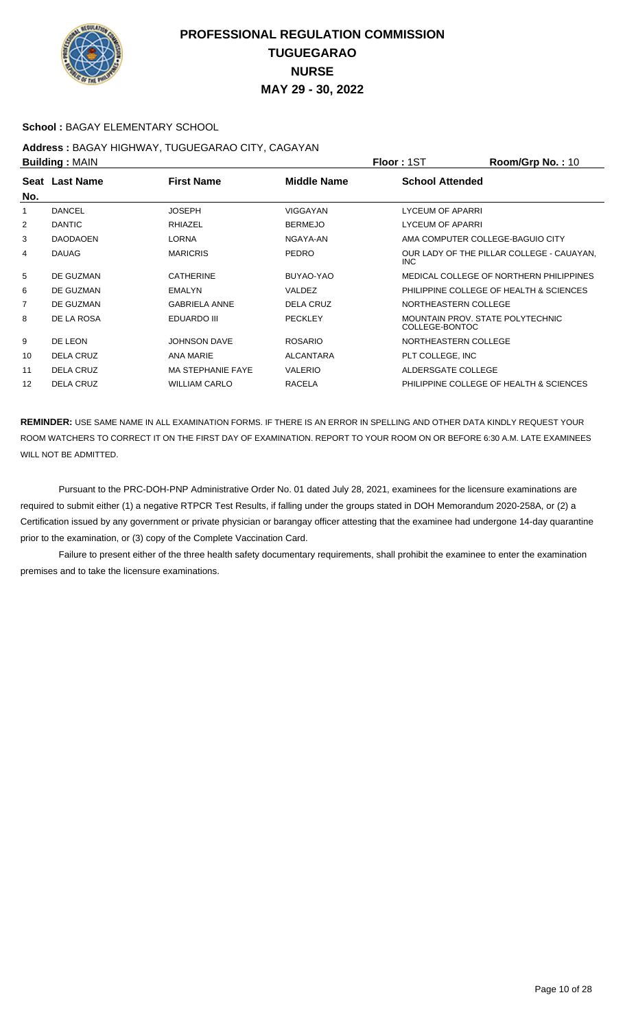

#### **School :** BAGAY ELEMENTARY SCHOOL

#### **Address :** BAGAY HIGHWAY, TUGUEGARAO CITY, CAGAYAN **Building :** MAIN **Floor :** 1ST **Room/Grp No. :** 10

|                | P               |                          |                    | 1 IUU 1 1 U 1                                      |
|----------------|-----------------|--------------------------|--------------------|----------------------------------------------------|
| No.            | Seat Last Name  | <b>First Name</b>        | <b>Middle Name</b> | <b>School Attended</b>                             |
| 1              | <b>DANCEL</b>   | <b>JOSEPH</b>            | <b>VIGGAYAN</b>    | LYCEUM OF APARRI                                   |
| 2              | <b>DANTIC</b>   | <b>RHIAZEL</b>           | <b>BERMEJO</b>     | LYCEUM OF APARRI                                   |
| 3              | <b>DAODAOEN</b> | <b>LORNA</b>             | NGAYA-AN           | AMA COMPUTER COLLEGE-BAGUIO CITY                   |
| 4              | <b>DAUAG</b>    | <b>MARICRIS</b>          | <b>PEDRO</b>       | OUR LADY OF THE PILLAR COLLEGE - CAUAYAN.<br>INC.  |
| 5              | DE GUZMAN       | CATHERINE                | BUYAO-YAO          | MEDICAL COLLEGE OF NORTHERN PHILIPPINES            |
| 6              | DE GUZMAN       | <b>EMALYN</b>            | VALDEZ             | PHILIPPINE COLLEGE OF HEALTH & SCIENCES            |
| $\overline{7}$ | DE GUZMAN       | <b>GABRIELA ANNE</b>     | <b>DELA CRUZ</b>   | NORTHEASTERN COLLEGE                               |
| 8              | DE LA ROSA      | EDUARDO III              | <b>PECKLEY</b>     | MOUNTAIN PROV. STATE POLYTECHNIC<br>COLLEGE-BONTOC |
| 9              | DE LEON         | <b>JOHNSON DAVE</b>      | <b>ROSARIO</b>     | NORTHEASTERN COLLEGE                               |
| 10             | DELA CRUZ       | ANA MARIE                | <b>ALCANTARA</b>   | PLT COLLEGE. INC                                   |
| 11             | DELA CRUZ       | <b>MA STEPHANIE FAYE</b> | <b>VALERIO</b>     | ALDERSGATE COLLEGE                                 |
| 12             | DELA CRUZ       | <b>WILLIAM CARLO</b>     | <b>RACELA</b>      | PHILIPPINE COLLEGE OF HEALTH & SCIENCES            |

**REMINDER:** USE SAME NAME IN ALL EXAMINATION FORMS. IF THERE IS AN ERROR IN SPELLING AND OTHER DATA KINDLY REQUEST YOUR ROOM WATCHERS TO CORRECT IT ON THE FIRST DAY OF EXAMINATION. REPORT TO YOUR ROOM ON OR BEFORE 6:30 A.M. LATE EXAMINEES WILL NOT BE ADMITTED.

 Pursuant to the PRC-DOH-PNP Administrative Order No. 01 dated July 28, 2021, examinees for the licensure examinations are required to submit either (1) a negative RTPCR Test Results, if falling under the groups stated in DOH Memorandum 2020-258A, or (2) a Certification issued by any government or private physician or barangay officer attesting that the examinee had undergone 14-day quarantine prior to the examination, or (3) copy of the Complete Vaccination Card.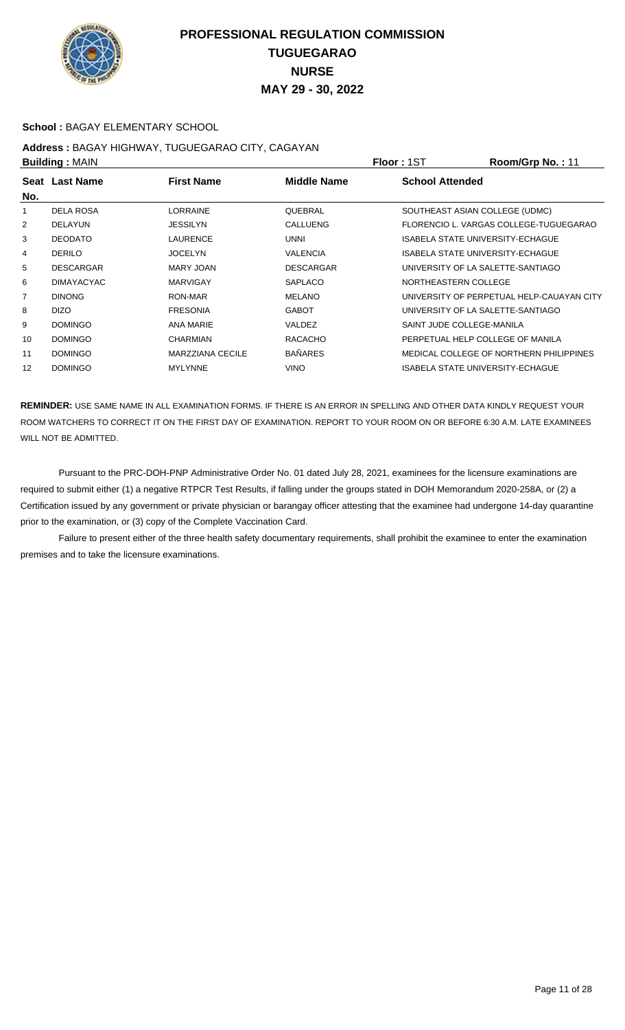

#### **School :** BAGAY ELEMENTARY SCHOOL

# **Address :** BAGAY HIGHWAY, TUGUEGARAO CITY, CAGAYAN

| <b>Building: MAIN</b> |                   |                         |                    | <b>Floor: 1ST</b>                 | Room/Grp No.: 11                          |
|-----------------------|-------------------|-------------------------|--------------------|-----------------------------------|-------------------------------------------|
| No.                   | Seat Last Name    | <b>First Name</b>       | <b>Middle Name</b> | <b>School Attended</b>            |                                           |
| 1                     | <b>DELA ROSA</b>  | LORRAINE                | QUEBRAL            | SOUTHEAST ASIAN COLLEGE (UDMC)    |                                           |
| $\overline{2}$        | <b>DELAYUN</b>    | JESSILYN                | CALLUENG           |                                   | FLORENCIO L. VARGAS COLLEGE-TUGUEGARAO    |
| 3                     | <b>DEODATO</b>    | LAURENCE                | <b>UNNI</b>        | ISABELA STATE UNIVERSITY-ECHAGUE  |                                           |
| 4                     | <b>DERILO</b>     | <b>JOCELYN</b>          | <b>VALENCIA</b>    | ISABELA STATE UNIVERSITY-ECHAGUE  |                                           |
| 5                     | <b>DESCARGAR</b>  | <b>MARY JOAN</b>        | <b>DESCARGAR</b>   | UNIVERSITY OF LA SALETTE-SANTIAGO |                                           |
| 6                     | <b>DIMAYACYAC</b> | <b>MARVIGAY</b>         | <b>SAPLACO</b>     | NORTHEASTERN COLLEGE              |                                           |
| $\overline{7}$        | <b>DINONG</b>     | RON-MAR                 | <b>MELANO</b>      |                                   | UNIVERSITY OF PERPETUAL HELP-CAUAYAN CITY |
| 8                     | <b>DIZO</b>       | <b>FRESONIA</b>         | <b>GABOT</b>       | UNIVERSITY OF LA SALETTE-SANTIAGO |                                           |
| 9                     | <b>DOMINGO</b>    | ANA MARIE               | VALDEZ             | SAINT JUDE COLLEGE-MANILA         |                                           |
| 10                    | <b>DOMINGO</b>    | CHARMIAN                | <b>RACACHO</b>     | PERPETUAL HELP COLLEGE OF MANILA  |                                           |
| 11                    | <b>DOMINGO</b>    | <b>MARZZIANA CECILE</b> | <b>BAÑARES</b>     |                                   | MEDICAL COLLEGE OF NORTHERN PHILIPPINES   |
| 12                    | <b>DOMINGO</b>    | <b>MYLYNNE</b>          | <b>VINO</b>        | ISABELA STATE UNIVERSITY-ECHAGUE  |                                           |
|                       |                   |                         |                    |                                   |                                           |

**REMINDER:** USE SAME NAME IN ALL EXAMINATION FORMS. IF THERE IS AN ERROR IN SPELLING AND OTHER DATA KINDLY REQUEST YOUR ROOM WATCHERS TO CORRECT IT ON THE FIRST DAY OF EXAMINATION. REPORT TO YOUR ROOM ON OR BEFORE 6:30 A.M. LATE EXAMINEES WILL NOT BE ADMITTED.

 Pursuant to the PRC-DOH-PNP Administrative Order No. 01 dated July 28, 2021, examinees for the licensure examinations are required to submit either (1) a negative RTPCR Test Results, if falling under the groups stated in DOH Memorandum 2020-258A, or (2) a Certification issued by any government or private physician or barangay officer attesting that the examinee had undergone 14-day quarantine prior to the examination, or (3) copy of the Complete Vaccination Card.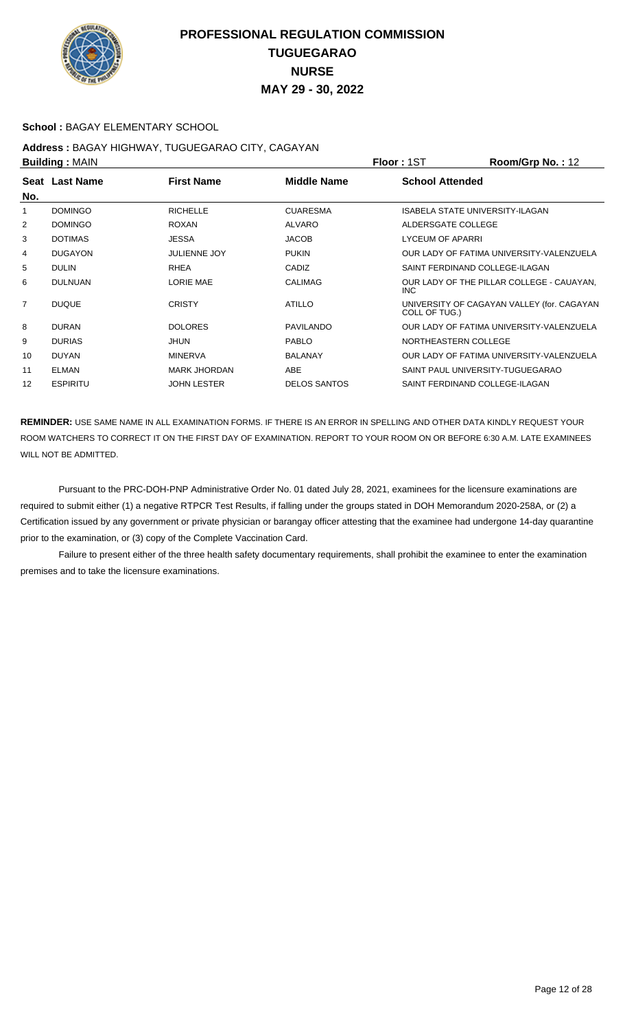

#### **School :** BAGAY ELEMENTARY SCHOOL

#### **Address :** BAGAY HIGHWAY, TUGUEGARAO CITY, CAGAYAN **Building :** MAIN **Floor :** 1ST **Room/Grp No. :** 12

|                | рананга гилипт  |                     |                     | .                                                           |
|----------------|-----------------|---------------------|---------------------|-------------------------------------------------------------|
| No.            | Seat Last Name  | <b>First Name</b>   | <b>Middle Name</b>  | <b>School Attended</b>                                      |
| 1              | <b>DOMINGO</b>  | <b>RICHELLE</b>     | <b>CUARESMA</b>     | <b>ISABELA STATE UNIVERSITY-ILAGAN</b>                      |
| 2              | <b>DOMINGO</b>  | <b>ROXAN</b>        | <b>ALVARO</b>       | ALDERSGATE COLLEGE                                          |
| 3              | <b>DOTIMAS</b>  | <b>JESSA</b>        | <b>JACOB</b>        | <b>LYCEUM OF APARRI</b>                                     |
| 4              | <b>DUGAYON</b>  | <b>JULIENNE JOY</b> | <b>PUKIN</b>        | OUR LADY OF FATIMA UNIVERSITY-VALENZUELA                    |
| 5              | <b>DULIN</b>    | <b>RHEA</b>         | <b>CADIZ</b>        | SAINT FERDINAND COLLEGE-ILAGAN                              |
| 6              | <b>DULNUAN</b>  | <b>LORIE MAE</b>    | <b>CALIMAG</b>      | OUR LADY OF THE PILLAR COLLEGE - CAUAYAN.<br>INC            |
| $\overline{7}$ | <b>DUQUE</b>    | <b>CRISTY</b>       | <b>ATILLO</b>       | UNIVERSITY OF CAGAYAN VALLEY (for. CAGAYAN<br>COLL OF TUG.) |
| 8              | <b>DURAN</b>    | <b>DOLORES</b>      | <b>PAVILANDO</b>    | OUR LADY OF FATIMA UNIVERSITY-VALENZUELA                    |
| 9              | <b>DURIAS</b>   | <b>JHUN</b>         | <b>PABLO</b>        | NORTHEASTERN COLLEGE                                        |
| 10             | <b>DUYAN</b>    | <b>MINERVA</b>      | <b>BALANAY</b>      | OUR LADY OF FATIMA UNIVERSITY-VALENZUELA                    |
| 11             | <b>ELMAN</b>    | <b>MARK JHORDAN</b> | <b>ABE</b>          | SAINT PAUL UNIVERSITY-TUGUEGARAO                            |
| 12             | <b>ESPIRITU</b> | <b>JOHN LESTER</b>  | <b>DELOS SANTOS</b> | SAINT FERDINAND COLLEGE-ILAGAN                              |

**REMINDER:** USE SAME NAME IN ALL EXAMINATION FORMS. IF THERE IS AN ERROR IN SPELLING AND OTHER DATA KINDLY REQUEST YOUR ROOM WATCHERS TO CORRECT IT ON THE FIRST DAY OF EXAMINATION. REPORT TO YOUR ROOM ON OR BEFORE 6:30 A.M. LATE EXAMINEES WILL NOT BE ADMITTED.

 Pursuant to the PRC-DOH-PNP Administrative Order No. 01 dated July 28, 2021, examinees for the licensure examinations are required to submit either (1) a negative RTPCR Test Results, if falling under the groups stated in DOH Memorandum 2020-258A, or (2) a Certification issued by any government or private physician or barangay officer attesting that the examinee had undergone 14-day quarantine prior to the examination, or (3) copy of the Complete Vaccination Card.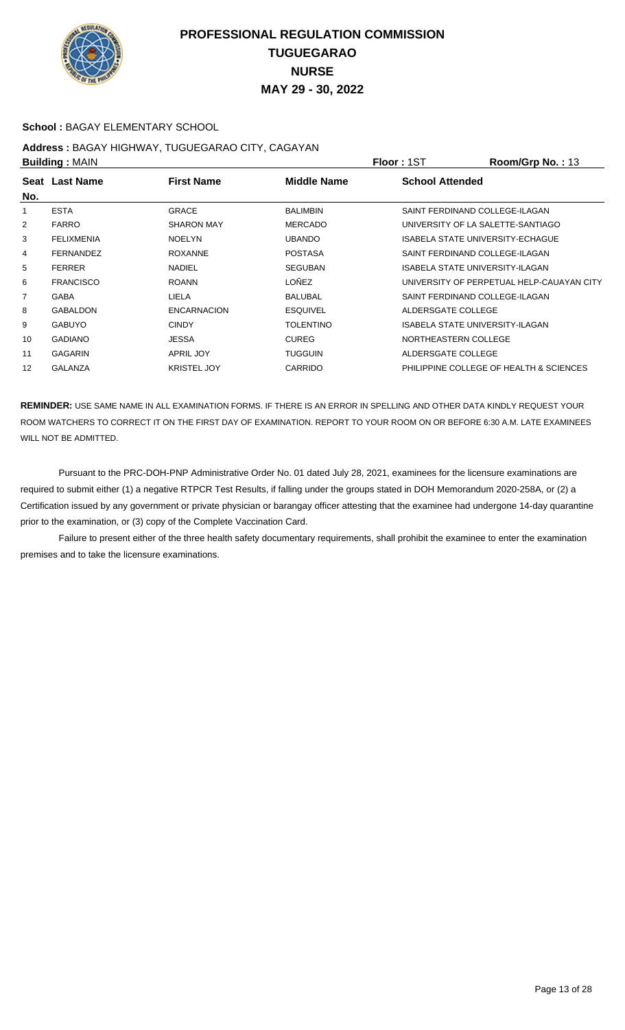

#### **School :** BAGAY ELEMENTARY SCHOOL

# **Address :** BAGAY HIGHWAY, TUGUEGARAO CITY, CAGAYAN

| <b>Building: MAIN</b> |                    |                  | <b>Floor: 1ST</b>      | Room/Grp No.: 13                          |
|-----------------------|--------------------|------------------|------------------------|-------------------------------------------|
|                       | <b>First Name</b>  | Middle Name      | <b>School Attended</b> |                                           |
| <b>ESTA</b>           | <b>GRACE</b>       | <b>BALIMBIN</b>  |                        | SAINT FERDINAND COLLEGE-ILAGAN            |
| <b>FARRO</b>          | <b>SHARON MAY</b>  | <b>MERCADO</b>   |                        | UNIVERSITY OF LA SALETTE-SANTIAGO         |
| <b>FELIXMENIA</b>     | <b>NOELYN</b>      | <b>UBANDO</b>    |                        | ISABELA STATE UNIVERSITY-ECHAGUE          |
| <b>FERNANDEZ</b>      | <b>ROXANNE</b>     | <b>POSTASA</b>   |                        | SAINT FERDINAND COLLEGE-ILAGAN            |
| <b>FERRER</b>         | <b>NADIEL</b>      | <b>SEGUBAN</b>   |                        | ISABELA STATE UNIVERSITY-ILAGAN           |
| <b>FRANCISCO</b>      | <b>ROANN</b>       | <b>LOÑEZ</b>     |                        | UNIVERSITY OF PERPETUAL HELP-CAUAYAN CITY |
| <b>GABA</b>           | LIELA              | <b>BALUBAL</b>   |                        | SAINT FERDINAND COLLEGE-ILAGAN            |
| GABALDON              | <b>ENCARNACION</b> | <b>ESQUIVEL</b>  | ALDERSGATE COLLEGE     |                                           |
| <b>GABUYO</b>         | <b>CINDY</b>       | <b>TOLENTINO</b> |                        | ISABELA STATE UNIVERSITY-ILAGAN           |
| <b>GADIANO</b>        | JESSA              | <b>CUREG</b>     | NORTHEASTERN COLLEGE   |                                           |
| <b>GAGARIN</b>        | <b>APRIL JOY</b>   | <b>TUGGUIN</b>   | ALDERSGATE COLLEGE     |                                           |
| GALANZA               | <b>KRISTEL JOY</b> | <b>CARRIDO</b>   |                        | PHILIPPINE COLLEGE OF HEALTH & SCIENCES   |
|                       | Seat Last Name     |                  |                        |                                           |

**REMINDER:** USE SAME NAME IN ALL EXAMINATION FORMS. IF THERE IS AN ERROR IN SPELLING AND OTHER DATA KINDLY REQUEST YOUR ROOM WATCHERS TO CORRECT IT ON THE FIRST DAY OF EXAMINATION. REPORT TO YOUR ROOM ON OR BEFORE 6:30 A.M. LATE EXAMINEES WILL NOT BE ADMITTED.

 Pursuant to the PRC-DOH-PNP Administrative Order No. 01 dated July 28, 2021, examinees for the licensure examinations are required to submit either (1) a negative RTPCR Test Results, if falling under the groups stated in DOH Memorandum 2020-258A, or (2) a Certification issued by any government or private physician or barangay officer attesting that the examinee had undergone 14-day quarantine prior to the examination, or (3) copy of the Complete Vaccination Card.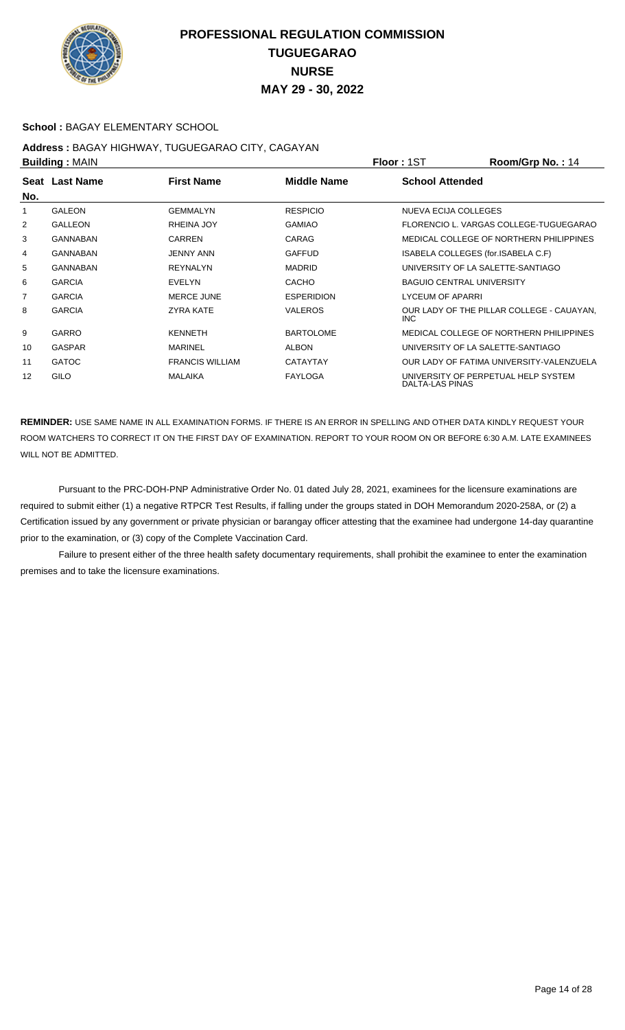

#### **School :** BAGAY ELEMENTARY SCHOOL

#### **Address :** BAGAY HIGHWAY, TUGUEGARAO CITY, CAGAYAN **Building :** MAIN **Floor :** 1ST **Room/Grp No. :** 14

|     | <b>Punding.</b> WATER<br>. |                        | דו . טוו קושיוויטש |                                                        |  |
|-----|----------------------------|------------------------|--------------------|--------------------------------------------------------|--|
| No. | Seat Last Name             | <b>First Name</b>      | Middle Name        | <b>School Attended</b>                                 |  |
| 1   | <b>GALEON</b>              | <b>GEMMALYN</b>        | <b>RESPICIO</b>    | NUEVA ECIJA COLLEGES                                   |  |
| 2   | <b>GALLEON</b>             | RHEINA JOY             | <b>GAMIAO</b>      | FLORENCIO L. VARGAS COLLEGE-TUGUEGARAO                 |  |
| 3   | <b>GANNABAN</b>            | <b>CARREN</b>          | CARAG              | MEDICAL COLLEGE OF NORTHERN PHILIPPINES                |  |
| 4   | <b>GANNABAN</b>            | JENNY ANN              | <b>GAFFUD</b>      | ISABELA COLLEGES (for.ISABELA C.F)                     |  |
| 5   | <b>GANNABAN</b>            | <b>REYNALYN</b>        | <b>MADRID</b>      | UNIVERSITY OF LA SALETTE-SANTIAGO                      |  |
| 6   | <b>GARCIA</b>              | <b>EVELYN</b>          | CACHO              | <b>BAGUIO CENTRAL UNIVERSITY</b>                       |  |
| 7   | <b>GARCIA</b>              | <b>MERCE JUNE</b>      | <b>ESPERIDION</b>  | <b>LYCEUM OF APARRI</b>                                |  |
| 8   | <b>GARCIA</b>              | ZYRA KATE              | <b>VALEROS</b>     | OUR LADY OF THE PILLAR COLLEGE - CAUAYAN.<br>INC.      |  |
| 9   | <b>GARRO</b>               | <b>KENNETH</b>         | <b>BARTOLOME</b>   | MEDICAL COLLEGE OF NORTHERN PHILIPPINES                |  |
| 10  | <b>GASPAR</b>              | <b>MARINEL</b>         | <b>ALBON</b>       | UNIVERSITY OF LA SALETTE-SANTIAGO                      |  |
| 11  | <b>GATOC</b>               | <b>FRANCIS WILLIAM</b> | <b>CATAYTAY</b>    | OUR LADY OF FATIMA UNIVERSITY-VALENZUELA               |  |
| 12  | GILO                       | <b>MALAIKA</b>         | <b>FAYLOGA</b>     | UNIVERSITY OF PERPETUAL HELP SYSTEM<br>DALTA-LAS PINAS |  |

**REMINDER:** USE SAME NAME IN ALL EXAMINATION FORMS. IF THERE IS AN ERROR IN SPELLING AND OTHER DATA KINDLY REQUEST YOUR ROOM WATCHERS TO CORRECT IT ON THE FIRST DAY OF EXAMINATION. REPORT TO YOUR ROOM ON OR BEFORE 6:30 A.M. LATE EXAMINEES WILL NOT BE ADMITTED.

 Pursuant to the PRC-DOH-PNP Administrative Order No. 01 dated July 28, 2021, examinees for the licensure examinations are required to submit either (1) a negative RTPCR Test Results, if falling under the groups stated in DOH Memorandum 2020-258A, or (2) a Certification issued by any government or private physician or barangay officer attesting that the examinee had undergone 14-day quarantine prior to the examination, or (3) copy of the Complete Vaccination Card.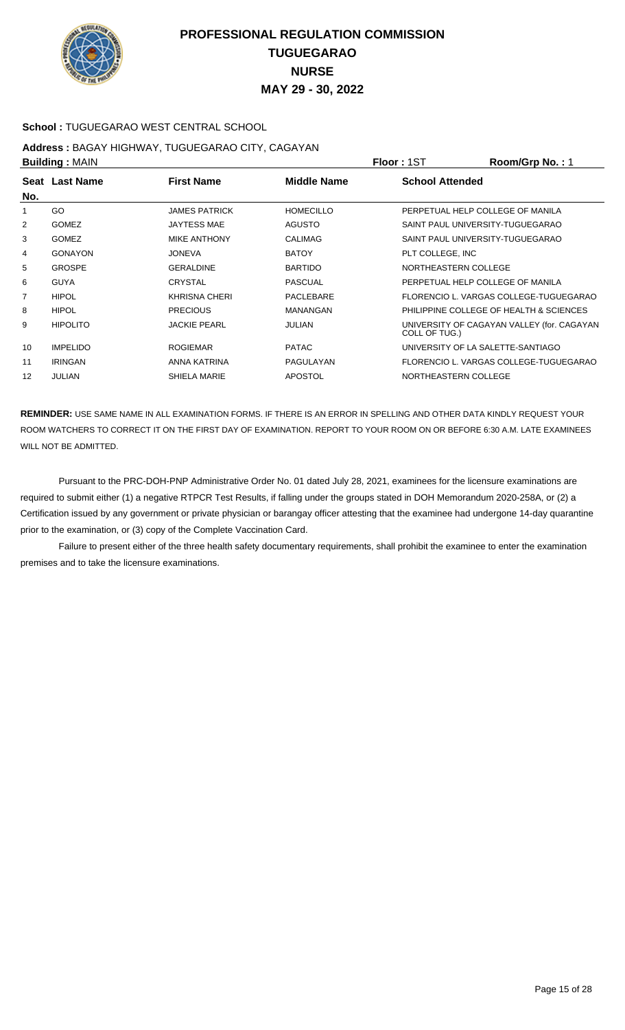

## **School :** TUGUEGARAO WEST CENTRAL SCHOOL

#### **Address :** BAGAY HIGHWAY, TUGUEGARAO CITY, CAGAYAN **Building :** MAIN **Floor :** 1ST **Room/Grp No. :** 1

| <b>Panania</b> , in the<br>. |                 |                      |                    |                                                             |  |
|------------------------------|-----------------|----------------------|--------------------|-------------------------------------------------------------|--|
| No.                          | Seat Last Name  | <b>First Name</b>    | <b>Middle Name</b> | <b>School Attended</b>                                      |  |
| 1                            | GO              | <b>JAMES PATRICK</b> | <b>HOMECILLO</b>   | PERPETUAL HELP COLLEGE OF MANILA                            |  |
| 2                            | <b>GOMEZ</b>    | <b>JAYTESS MAE</b>   | <b>AGUSTO</b>      | SAINT PAUL UNIVERSITY-TUGUEGARAO                            |  |
| 3                            | <b>GOMEZ</b>    | <b>MIKE ANTHONY</b>  | <b>CALIMAG</b>     | SAINT PAUL UNIVERSITY-TUGUEGARAO                            |  |
| 4                            | <b>GONAYON</b>  | <b>JONEVA</b>        | <b>BATOY</b>       | PLT COLLEGE. INC                                            |  |
| 5                            | <b>GROSPE</b>   | <b>GERALDINE</b>     | <b>BARTIDO</b>     | NORTHEASTERN COLLEGE                                        |  |
| 6                            | <b>GUYA</b>     | <b>CRYSTAL</b>       | <b>PASCUAL</b>     | PERPETUAL HELP COLLEGE OF MANILA                            |  |
| $\overline{7}$               | <b>HIPOL</b>    | <b>KHRISNA CHERI</b> | PACLEBARE          | FLORENCIO L. VARGAS COLLEGE-TUGUEGARAO                      |  |
| 8                            | <b>HIPOL</b>    | <b>PRECIOUS</b>      | MANANGAN           | PHILIPPINE COLLEGE OF HEALTH & SCIENCES                     |  |
| 9                            | <b>HIPOLITO</b> | <b>JACKIE PEARL</b>  | <b>JULIAN</b>      | UNIVERSITY OF CAGAYAN VALLEY (for. CAGAYAN<br>COLL OF TUG.) |  |
| 10                           | <b>IMPELIDO</b> | <b>ROGIEMAR</b>      | <b>PATAC</b>       | UNIVERSITY OF LA SALETTE-SANTIAGO                           |  |
| 11                           | <b>IRINGAN</b>  | ANNA KATRINA         | PAGULAYAN          | FLORENCIO L. VARGAS COLLEGE-TUGUEGARAO                      |  |
| 12                           | <b>JULIAN</b>   | SHIELA MARIE         | <b>APOSTOL</b>     | NORTHEASTERN COLLEGE                                        |  |

**REMINDER:** USE SAME NAME IN ALL EXAMINATION FORMS. IF THERE IS AN ERROR IN SPELLING AND OTHER DATA KINDLY REQUEST YOUR ROOM WATCHERS TO CORRECT IT ON THE FIRST DAY OF EXAMINATION. REPORT TO YOUR ROOM ON OR BEFORE 6:30 A.M. LATE EXAMINEES WILL NOT BE ADMITTED.

 Pursuant to the PRC-DOH-PNP Administrative Order No. 01 dated July 28, 2021, examinees for the licensure examinations are required to submit either (1) a negative RTPCR Test Results, if falling under the groups stated in DOH Memorandum 2020-258A, or (2) a Certification issued by any government or private physician or barangay officer attesting that the examinee had undergone 14-day quarantine prior to the examination, or (3) copy of the Complete Vaccination Card.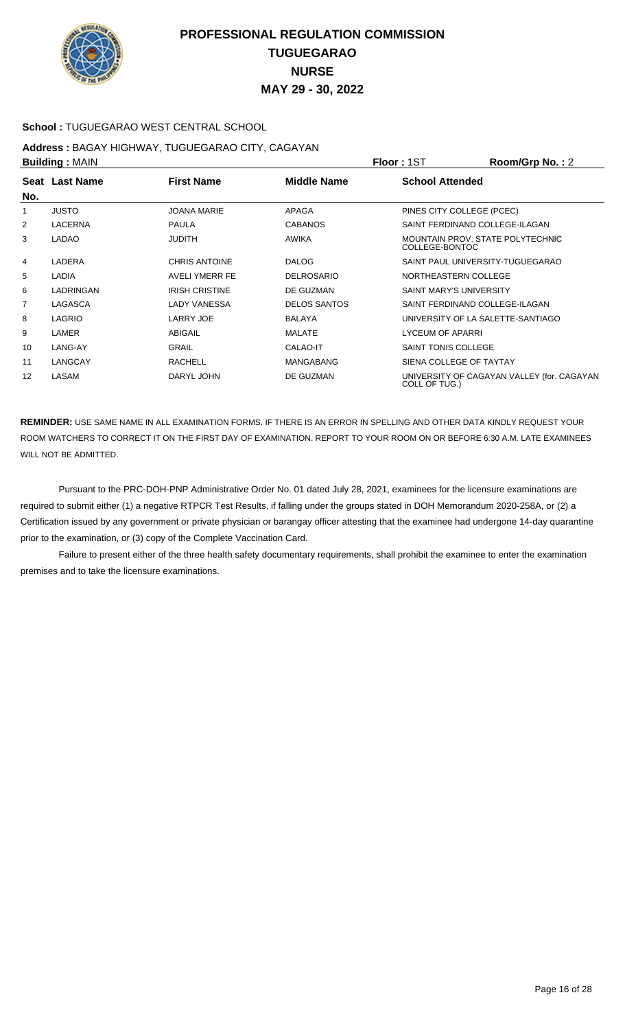

## **School :** TUGUEGARAO WEST CENTRAL SCHOOL

#### **Address :** BAGAY HIGHWAY, TUGUEGARAO CITY, CAGAYAN **Building :** MAIN **Floor :** 1ST **Room/Grp No. :** 2

|                | P              |                       |                     | 1 IUU 1 1 U 1                                               |
|----------------|----------------|-----------------------|---------------------|-------------------------------------------------------------|
| No.            | Seat Last Name | <b>First Name</b>     | <b>Middle Name</b>  | <b>School Attended</b>                                      |
| 1              | <b>JUSTO</b>   | <b>JOANA MARIE</b>    | APAGA               | PINES CITY COLLEGE (PCEC)                                   |
| 2              | <b>LACERNA</b> | <b>PAULA</b>          | <b>CABANOS</b>      | SAINT FERDINAND COLLEGE-ILAGAN                              |
| 3              | <b>LADAO</b>   | <b>JUDITH</b>         | AWIKA               | MOUNTAIN PROV. STATE POLYTECHNIC<br>COLLEGE-BONTOC          |
| 4              | LADERA         | <b>CHRIS ANTOINE</b>  | <b>DALOG</b>        | SAINT PAUL UNIVERSITY-TUGUEGARAO                            |
| 5              | LADIA          | AVELI YMERR FE        | <b>DELROSARIO</b>   | NORTHEASTERN COLLEGE                                        |
| 6              | LADRINGAN      | <b>IRISH CRISTINE</b> | DE GUZMAN           | <b>SAINT MARY'S UNIVERSITY</b>                              |
| $\overline{7}$ | LAGASCA        | <b>LADY VANESSA</b>   | <b>DELOS SANTOS</b> | SAINT FERDINAND COLLEGE-ILAGAN                              |
| 8              | <b>LAGRIO</b>  | <b>LARRY JOE</b>      | <b>BALAYA</b>       | UNIVERSITY OF LA SALETTE-SANTIAGO                           |
| 9              | LAMER          | ABIGAIL               | <b>MALATE</b>       | <b>LYCEUM OF APARRI</b>                                     |
| 10             | LANG-AY        | <b>GRAIL</b>          | CALAO-IT            | <b>SAINT TONIS COLLEGE</b>                                  |
| 11             | LANGCAY        | <b>RACHELL</b>        | <b>MANGABANG</b>    | SIENA COLLEGE OF TAYTAY                                     |
| 12             | LASAM          | DARYL JOHN            | DE GUZMAN           | UNIVERSITY OF CAGAYAN VALLEY (for. CAGAYAN<br>COLL OF TUG.) |

**REMINDER:** USE SAME NAME IN ALL EXAMINATION FORMS. IF THERE IS AN ERROR IN SPELLING AND OTHER DATA KINDLY REQUEST YOUR ROOM WATCHERS TO CORRECT IT ON THE FIRST DAY OF EXAMINATION. REPORT TO YOUR ROOM ON OR BEFORE 6:30 A.M. LATE EXAMINEES WILL NOT BE ADMITTED.

 Pursuant to the PRC-DOH-PNP Administrative Order No. 01 dated July 28, 2021, examinees for the licensure examinations are required to submit either (1) a negative RTPCR Test Results, if falling under the groups stated in DOH Memorandum 2020-258A, or (2) a Certification issued by any government or private physician or barangay officer attesting that the examinee had undergone 14-day quarantine prior to the examination, or (3) copy of the Complete Vaccination Card.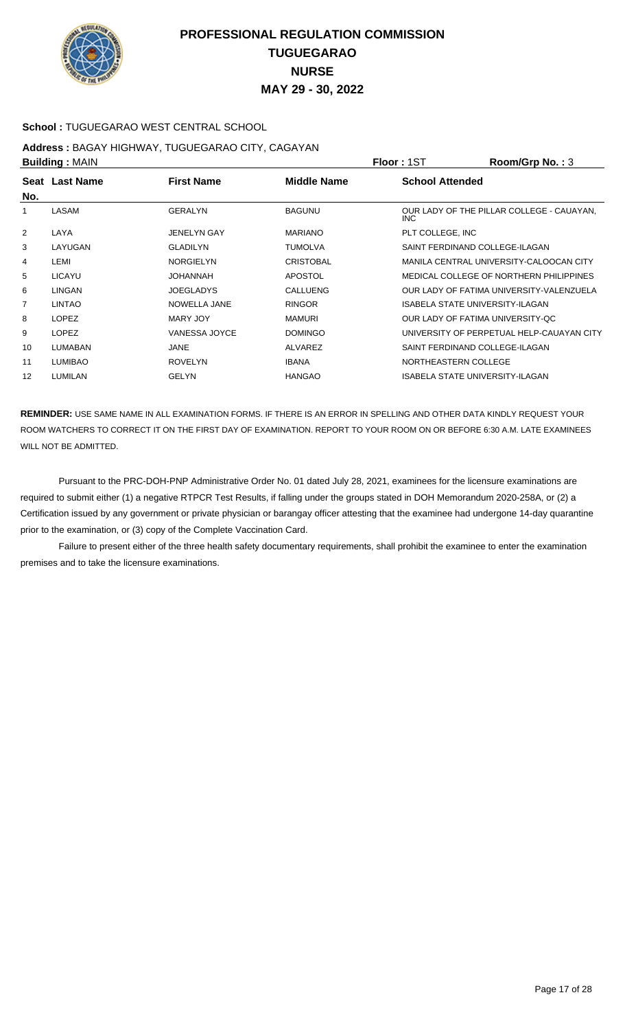

## **School :** TUGUEGARAO WEST CENTRAL SCHOOL

#### **Address :** BAGAY HIGHWAY, TUGUEGARAO CITY, CAGAYAN **Building :** MAIN **Floor :** 1ST **Room/Grp No. :** 3

| Seat Last Name | <b>First Name</b>  | <b>Middle Name</b> | <b>School Attended</b>                            |
|----------------|--------------------|--------------------|---------------------------------------------------|
| LASAM          | <b>GERALYN</b>     | <b>BAGUNU</b>      | OUR LADY OF THE PILLAR COLLEGE - CAUAYAN.<br>INC. |
| LAYA           | <b>JENELYN GAY</b> | <b>MARIANO</b>     | PLT COLLEGE, INC                                  |
| LAYUGAN        | <b>GLADILYN</b>    | <b>TUMOLVA</b>     | SAINT FERDINAND COLLEGE-ILAGAN                    |
| LEMI           | <b>NORGIELYN</b>   | <b>CRISTOBAL</b>   | MANILA CENTRAL UNIVERSITY-CALOOCAN CITY           |
| <b>LICAYU</b>  | <b>JOHANNAH</b>    | <b>APOSTOL</b>     | MEDICAL COLLEGE OF NORTHERN PHILIPPINES           |
| <b>LINGAN</b>  | <b>JOEGLADYS</b>   | CALLUENG           | OUR LADY OF FATIMA UNIVERSITY-VALENZUELA          |
| <b>LINTAO</b>  | NOWELLA JANE       | <b>RINGOR</b>      | ISABELA STATE UNIVERSITY-ILAGAN                   |
| <b>LOPEZ</b>   | MARY JOY           | <b>MAMURI</b>      | OUR LADY OF FATIMA UNIVERSITY-OC                  |
| <b>LOPEZ</b>   | VANESSA JOYCE      | <b>DOMINGO</b>     | UNIVERSITY OF PERPETUAL HELP-CAUAYAN CITY         |
| LUMABAN        | JANE               | ALVAREZ            | SAINT FERDINAND COLLEGE-ILAGAN                    |
| <b>LUMIBAO</b> | <b>ROVELYN</b>     | <b>IBANA</b>       | NORTHEASTERN COLLEGE                              |
| <b>LUMILAN</b> | <b>GELYN</b>       | <b>HANGAO</b>      | ISABELA STATE UNIVERSITY-ILAGAN                   |
|                |                    |                    |                                                   |

**REMINDER:** USE SAME NAME IN ALL EXAMINATION FORMS. IF THERE IS AN ERROR IN SPELLING AND OTHER DATA KINDLY REQUEST YOUR ROOM WATCHERS TO CORRECT IT ON THE FIRST DAY OF EXAMINATION. REPORT TO YOUR ROOM ON OR BEFORE 6:30 A.M. LATE EXAMINEES WILL NOT BE ADMITTED.

 Pursuant to the PRC-DOH-PNP Administrative Order No. 01 dated July 28, 2021, examinees for the licensure examinations are required to submit either (1) a negative RTPCR Test Results, if falling under the groups stated in DOH Memorandum 2020-258A, or (2) a Certification issued by any government or private physician or barangay officer attesting that the examinee had undergone 14-day quarantine prior to the examination, or (3) copy of the Complete Vaccination Card.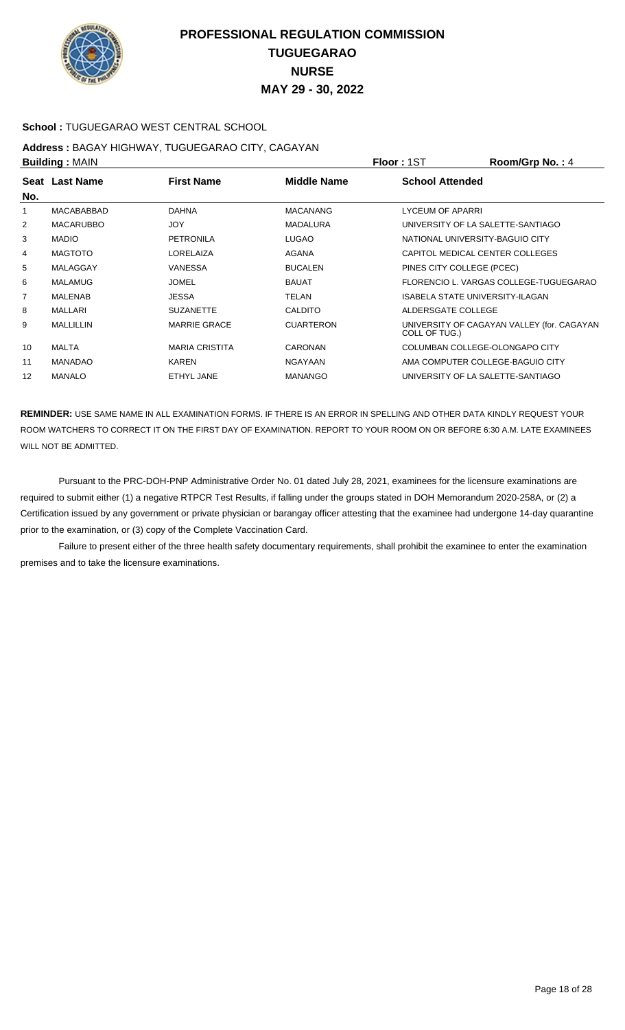

## **School :** TUGUEGARAO WEST CENTRAL SCHOOL

#### **Address :** BAGAY HIGHWAY, TUGUEGARAO CITY, CAGAYAN **Building :** MAIN **Floor :** 1ST **Room/Grp No. :** 4

| рананга гилипт |                   |                       | .                  |                                                             |  |
|----------------|-------------------|-----------------------|--------------------|-------------------------------------------------------------|--|
| No.            | Seat Last Name    | <b>First Name</b>     | <b>Middle Name</b> | <b>School Attended</b>                                      |  |
| 1              | <b>MACABABBAD</b> | <b>DAHNA</b>          | <b>MACANANG</b>    | LYCEUM OF APARRI                                            |  |
| 2              | <b>MACARUBBO</b>  | <b>JOY</b>            | <b>MADALURA</b>    | UNIVERSITY OF LA SALETTE-SANTIAGO                           |  |
| 3              | <b>MADIO</b>      | <b>PETRONILA</b>      | <b>LUGAO</b>       | NATIONAL UNIVERSITY-BAGUIO CITY                             |  |
| 4              | <b>MAGTOTO</b>    | LORELAIZA             | AGANA              | CAPITOL MEDICAL CENTER COLLEGES                             |  |
| 5              | MALAGGAY          | <b>VANESSA</b>        | <b>BUCALEN</b>     | PINES CITY COLLEGE (PCEC)                                   |  |
| 6              | <b>MALAMUG</b>    | <b>JOMEL</b>          | <b>BAUAT</b>       | FLORENCIO L. VARGAS COLLEGE-TUGUEGARAO                      |  |
| 7              | <b>MALENAB</b>    | <b>JESSA</b>          | TELAN              | ISABELA STATE UNIVERSITY-ILAGAN                             |  |
| 8              | MALLARI           | <b>SUZANETTE</b>      | <b>CALDITO</b>     | ALDERSGATE COLLEGE                                          |  |
| 9              | <b>MALLILLIN</b>  | <b>MARRIE GRACE</b>   | <b>CUARTERON</b>   | UNIVERSITY OF CAGAYAN VALLEY (for. CAGAYAN<br>COLL OF TUG.) |  |
| 10             | MALTA             | <b>MARIA CRISTITA</b> | <b>CARONAN</b>     | COLUMBAN COLLEGE-OLONGAPO CITY                              |  |
| 11             | <b>MANADAO</b>    | <b>KAREN</b>          | <b>NGAYAAN</b>     | AMA COMPUTER COLLEGE-BAGUIO CITY                            |  |
| 12             | <b>MANALO</b>     | ETHYL JANE            | <b>MANANGO</b>     | UNIVERSITY OF LA SALETTE-SANTIAGO                           |  |

**REMINDER:** USE SAME NAME IN ALL EXAMINATION FORMS. IF THERE IS AN ERROR IN SPELLING AND OTHER DATA KINDLY REQUEST YOUR ROOM WATCHERS TO CORRECT IT ON THE FIRST DAY OF EXAMINATION. REPORT TO YOUR ROOM ON OR BEFORE 6:30 A.M. LATE EXAMINEES WILL NOT BE ADMITTED.

 Pursuant to the PRC-DOH-PNP Administrative Order No. 01 dated July 28, 2021, examinees for the licensure examinations are required to submit either (1) a negative RTPCR Test Results, if falling under the groups stated in DOH Memorandum 2020-258A, or (2) a Certification issued by any government or private physician or barangay officer attesting that the examinee had undergone 14-day quarantine prior to the examination, or (3) copy of the Complete Vaccination Card.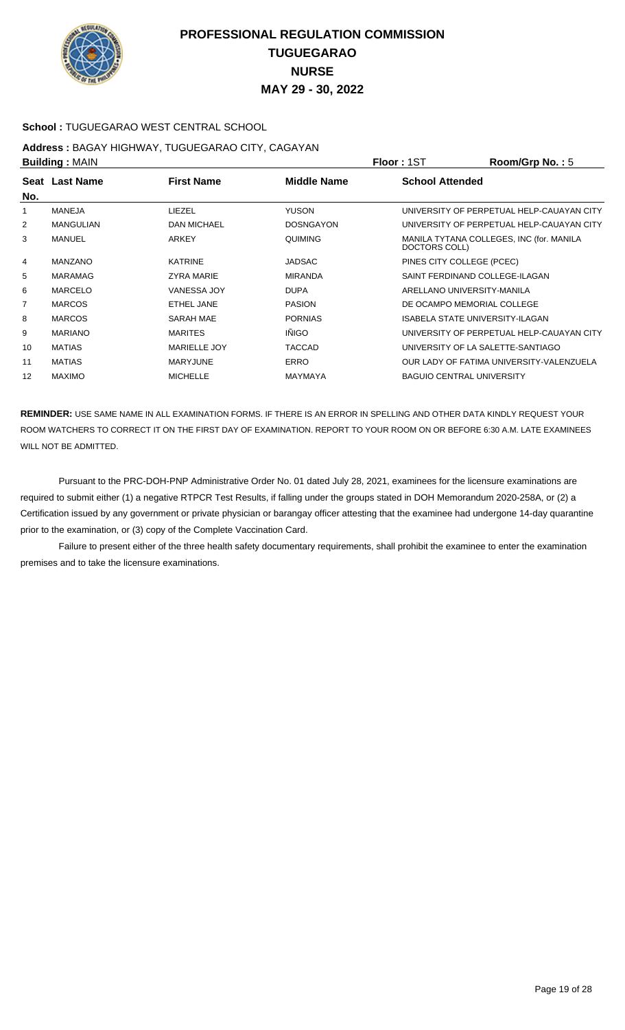

## **School :** TUGUEGARAO WEST CENTRAL SCHOOL

# **Address :** BAGAY HIGHWAY, TUGUEGARAO CITY, CAGAYAN

| <b>Building: MAIN</b> |                  |                     |                    | <b>Floor: 1ST</b>                | Room/Grp No.: 5                           |
|-----------------------|------------------|---------------------|--------------------|----------------------------------|-------------------------------------------|
|                       | Seat Last Name   | <b>First Name</b>   | <b>Middle Name</b> | <b>School Attended</b>           |                                           |
| No.                   |                  |                     |                    |                                  |                                           |
| 1                     | MANEJA           | LIEZEL              | <b>YUSON</b>       |                                  | UNIVERSITY OF PERPETUAL HELP-CAUAYAN CITY |
| 2                     | <b>MANGULIAN</b> | <b>DAN MICHAEL</b>  | <b>DOSNGAYON</b>   |                                  | UNIVERSITY OF PERPETUAL HELP-CAUAYAN CITY |
| 3                     | <b>MANUEL</b>    | <b>ARKEY</b>        | <b>QUIMING</b>     | DOCTORS COLL)                    | MANILA TYTANA COLLEGES, INC (for. MANILA  |
| 4                     | <b>MANZANO</b>   | <b>KATRINE</b>      | <b>JADSAC</b>      | PINES CITY COLLEGE (PCEC)        |                                           |
| 5                     | <b>MARAMAG</b>   | <b>ZYRA MARIE</b>   | <b>MIRANDA</b>     |                                  | SAINT FERDINAND COLLEGE-ILAGAN            |
| 6                     | <b>MARCELO</b>   | <b>VANESSA JOY</b>  | <b>DUPA</b>        |                                  | ARELLANO UNIVERSITY-MANILA                |
| 7                     | <b>MARCOS</b>    | ETHEL JANE          | <b>PASION</b>      |                                  | DE OCAMPO MEMORIAL COLLEGE                |
| 8                     | <b>MARCOS</b>    | <b>SARAH MAE</b>    | <b>PORNIAS</b>     |                                  | ISABELA STATE UNIVERSITY-ILAGAN           |
| 9                     | <b>MARIANO</b>   | <b>MARITES</b>      | <b>IÑIGO</b>       |                                  | UNIVERSITY OF PERPETUAL HELP-CAUAYAN CITY |
| 10                    | <b>MATIAS</b>    | <b>MARIELLE JOY</b> | <b>TACCAD</b>      |                                  | UNIVERSITY OF LA SALETTE-SANTIAGO         |
| 11                    | <b>MATIAS</b>    | <b>MARYJUNE</b>     | <b>ERRO</b>        |                                  | OUR LADY OF FATIMA UNIVERSITY-VALENZUELA  |
| 12                    | <b>MAXIMO</b>    | <b>MICHELLE</b>     | MAYMAYA            | <b>BAGUIO CENTRAL UNIVERSITY</b> |                                           |

**REMINDER:** USE SAME NAME IN ALL EXAMINATION FORMS. IF THERE IS AN ERROR IN SPELLING AND OTHER DATA KINDLY REQUEST YOUR ROOM WATCHERS TO CORRECT IT ON THE FIRST DAY OF EXAMINATION. REPORT TO YOUR ROOM ON OR BEFORE 6:30 A.M. LATE EXAMINEES WILL NOT BE ADMITTED.

 Pursuant to the PRC-DOH-PNP Administrative Order No. 01 dated July 28, 2021, examinees for the licensure examinations are required to submit either (1) a negative RTPCR Test Results, if falling under the groups stated in DOH Memorandum 2020-258A, or (2) a Certification issued by any government or private physician or barangay officer attesting that the examinee had undergone 14-day quarantine prior to the examination, or (3) copy of the Complete Vaccination Card.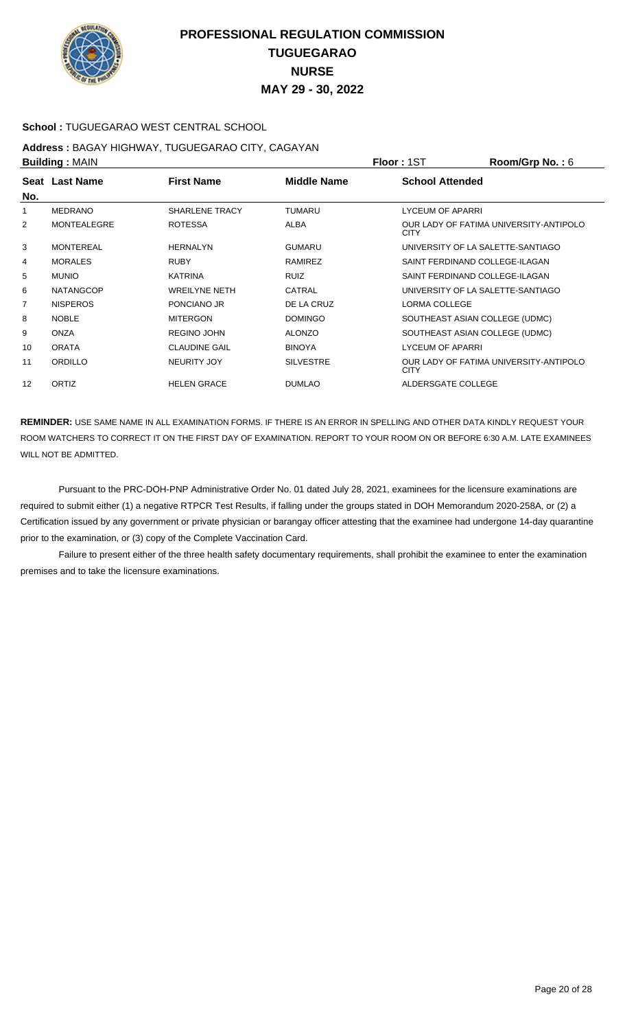

## **School :** TUGUEGARAO WEST CENTRAL SCHOOL

#### **Address :** BAGAY HIGHWAY, TUGUEGARAO CITY, CAGAYAN **Building :** MAIN **Floor :** 1ST **Room/Grp No. :** 6

|                | <b>Panania</b> , IVII WI |                      |                    | .                                                     |
|----------------|--------------------------|----------------------|--------------------|-------------------------------------------------------|
| No.            | Seat Last Name           | <b>First Name</b>    | <b>Middle Name</b> | <b>School Attended</b>                                |
| 1              | <b>MEDRANO</b>           | SHARLENE TRACY       | <b>TUMARU</b>      | <b>LYCEUM OF APARRI</b>                               |
| 2              | <b>MONTEALEGRE</b>       | <b>ROTESSA</b>       | <b>ALBA</b>        | OUR LADY OF FATIMA UNIVERSITY-ANTIPOLO<br><b>CITY</b> |
| 3              | <b>MONTEREAL</b>         | HERNALYN             | <b>GUMARU</b>      | UNIVERSITY OF LA SALETTE-SANTIAGO                     |
| 4              | <b>MORALES</b>           | <b>RUBY</b>          | <b>RAMIREZ</b>     | SAINT FERDINAND COLLEGE-ILAGAN                        |
| 5              | <b>MUNIO</b>             | <b>KATRINA</b>       | <b>RUIZ</b>        | SAINT FERDINAND COLLEGE-ILAGAN                        |
| 6              | <b>NATANGCOP</b>         | <b>WREILYNE NETH</b> | CATRAL             | UNIVERSITY OF LA SALETTE-SANTIAGO                     |
| $\overline{7}$ | <b>NISPEROS</b>          | PONCIANO JR          | DE LA CRUZ         | LORMA COLLEGE                                         |
| 8              | <b>NOBLE</b>             | <b>MITERGON</b>      | <b>DOMINGO</b>     | SOUTHEAST ASIAN COLLEGE (UDMC)                        |
| 9              | <b>ONZA</b>              | <b>REGINO JOHN</b>   | <b>ALONZO</b>      | SOUTHEAST ASIAN COLLEGE (UDMC)                        |
| 10             | <b>ORATA</b>             | <b>CLAUDINE GAIL</b> | <b>BINOYA</b>      | <b>LYCEUM OF APARRI</b>                               |
| 11             | ORDILLO                  | NEURITY JOY          | <b>SILVESTRE</b>   | OUR LADY OF FATIMA UNIVERSITY-ANTIPOLO<br><b>CITY</b> |
| 12             | <b>ORTIZ</b>             | <b>HELEN GRACE</b>   | <b>DUMLAO</b>      | ALDERSGATE COLLEGE                                    |

**REMINDER:** USE SAME NAME IN ALL EXAMINATION FORMS. IF THERE IS AN ERROR IN SPELLING AND OTHER DATA KINDLY REQUEST YOUR ROOM WATCHERS TO CORRECT IT ON THE FIRST DAY OF EXAMINATION. REPORT TO YOUR ROOM ON OR BEFORE 6:30 A.M. LATE EXAMINEES WILL NOT BE ADMITTED.

 Pursuant to the PRC-DOH-PNP Administrative Order No. 01 dated July 28, 2021, examinees for the licensure examinations are required to submit either (1) a negative RTPCR Test Results, if falling under the groups stated in DOH Memorandum 2020-258A, or (2) a Certification issued by any government or private physician or barangay officer attesting that the examinee had undergone 14-day quarantine prior to the examination, or (3) copy of the Complete Vaccination Card.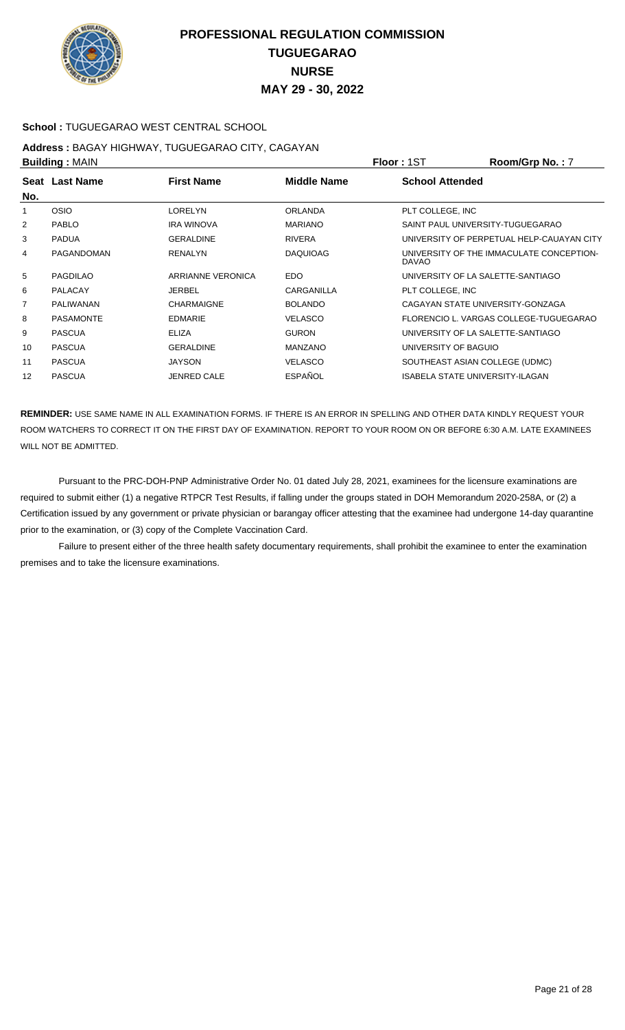

## **School :** TUGUEGARAO WEST CENTRAL SCHOOL

#### **Address :** BAGAY HIGHWAY, TUGUEGARAO CITY, CAGAYAN **Building :** MAIN **Floor :** 1ST **Room/Grp No. :** 7

|                | <b>DURING A MILITY</b> |                    |                 | .<br>יטיו קוטוויטטו                                      |
|----------------|------------------------|--------------------|-----------------|----------------------------------------------------------|
| No.            | Seat Last Name         | <b>First Name</b>  | Middle Name     | <b>School Attended</b>                                   |
| 1              | <b>OSIO</b>            | <b>LORELYN</b>     | <b>ORLANDA</b>  | PLT COLLEGE, INC                                         |
|                |                        |                    |                 |                                                          |
| 2              | <b>PABLO</b>           | <b>IRA WINOVA</b>  | <b>MARIANO</b>  | SAINT PAUL UNIVERSITY-TUGUEGARAO                         |
| 3              | <b>PADUA</b>           | <b>GERALDINE</b>   | <b>RIVERA</b>   | UNIVERSITY OF PERPETUAL HELP-CAUAYAN CITY                |
| 4              | PAGANDOMAN             | <b>RENALYN</b>     | <b>DAQUIOAG</b> | UNIVERSITY OF THE IMMACULATE CONCEPTION-<br><b>DAVAO</b> |
| 5              | PAGDILAO               | ARRIANNE VERONICA  | <b>EDO</b>      | UNIVERSITY OF LA SALETTE-SANTIAGO                        |
| 6              | <b>PALACAY</b>         | <b>JERBEL</b>      | CARGANILLA      | PLT COLLEGE, INC                                         |
| $\overline{7}$ | PALIWANAN              | <b>CHARMAIGNE</b>  | <b>BOLANDO</b>  | CAGAYAN STATE UNIVERSITY-GONZAGA                         |
| 8              | <b>PASAMONTE</b>       | <b>EDMARIE</b>     | <b>VELASCO</b>  | FLORENCIO L. VARGAS COLLEGE-TUGUEGARAO                   |
| 9              | <b>PASCUA</b>          | <b>ELIZA</b>       | <b>GURON</b>    | UNIVERSITY OF LA SALETTE-SANTIAGO                        |
| 10             | <b>PASCUA</b>          | <b>GERALDINE</b>   | <b>MANZANO</b>  | UNIVERSITY OF BAGUIO                                     |
| 11             | <b>PASCUA</b>          | <b>JAYSON</b>      | <b>VELASCO</b>  | SOUTHEAST ASIAN COLLEGE (UDMC)                           |
| 12             | <b>PASCUA</b>          | <b>JENRED CALE</b> | <b>ESPAÑOL</b>  | ISABELA STATE UNIVERSITY-ILAGAN                          |
|                |                        |                    |                 |                                                          |

**REMINDER:** USE SAME NAME IN ALL EXAMINATION FORMS. IF THERE IS AN ERROR IN SPELLING AND OTHER DATA KINDLY REQUEST YOUR ROOM WATCHERS TO CORRECT IT ON THE FIRST DAY OF EXAMINATION. REPORT TO YOUR ROOM ON OR BEFORE 6:30 A.M. LATE EXAMINEES WILL NOT BE ADMITTED.

 Pursuant to the PRC-DOH-PNP Administrative Order No. 01 dated July 28, 2021, examinees for the licensure examinations are required to submit either (1) a negative RTPCR Test Results, if falling under the groups stated in DOH Memorandum 2020-258A, or (2) a Certification issued by any government or private physician or barangay officer attesting that the examinee had undergone 14-day quarantine prior to the examination, or (3) copy of the Complete Vaccination Card.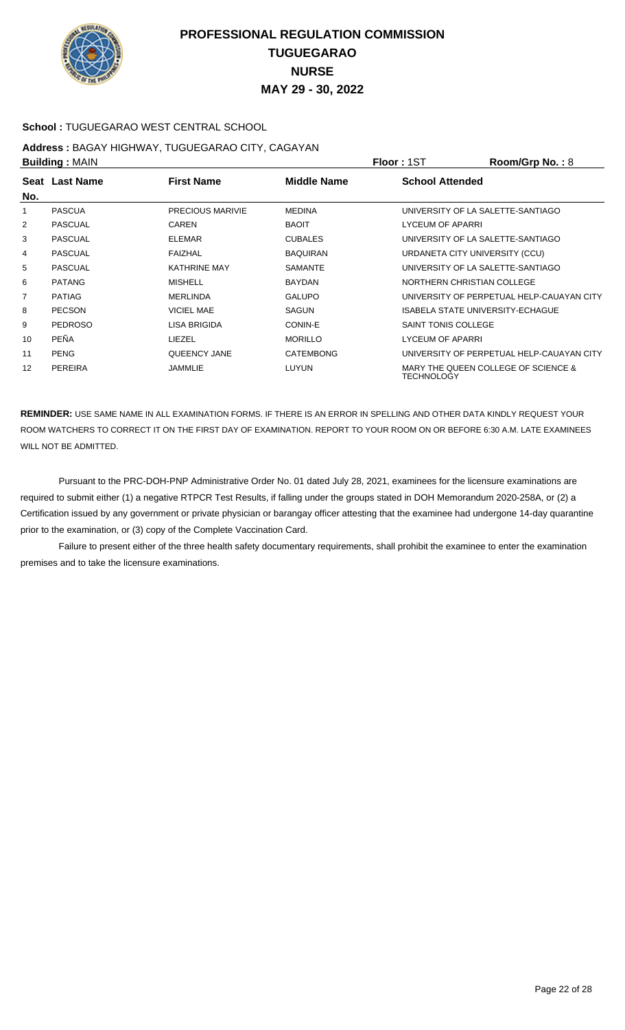

## **School :** TUGUEGARAO WEST CENTRAL SCHOOL

#### **Address :** BAGAY HIGHWAY, TUGUEGARAO CITY, CAGAYAN **Building :** MAIN **Floor :** 1ST **Room/Grp No. :** 8

|                | <b>DUILUILLY</b> ULAIN<br>1 IUU 1 1 U 1 |                         | 11001111011110110011011 |                            |                                           |
|----------------|-----------------------------------------|-------------------------|-------------------------|----------------------------|-------------------------------------------|
| No.            | Seat Last Name                          | <b>First Name</b>       | Middle Name             | <b>School Attended</b>     |                                           |
| 1              | <b>PASCUA</b>                           | <b>PRECIOUS MARIVIE</b> | <b>MEDINA</b>           |                            | UNIVERSITY OF LA SALETTE-SANTIAGO         |
| 2              | <b>PASCUAL</b>                          | CAREN                   | <b>BAOIT</b>            | LYCEUM OF APARRI           |                                           |
| 3              | <b>PASCUAL</b>                          | <b>ELEMAR</b>           | <b>CUBALES</b>          |                            | UNIVERSITY OF LA SALETTE-SANTIAGO         |
| 4              | <b>PASCUAL</b>                          | <b>FAIZHAL</b>          | <b>BAQUIRAN</b>         |                            | URDANETA CITY UNIVERSITY (CCU)            |
| 5              | <b>PASCUAL</b>                          | <b>KATHRINE MAY</b>     | <b>SAMANTE</b>          |                            | UNIVERSITY OF LA SALETTE-SANTIAGO         |
| 6              | <b>PATANG</b>                           | <b>MISHELL</b>          | <b>BAYDAN</b>           |                            | NORTHERN CHRISTIAN COLLEGE                |
| $\overline{7}$ | <b>PATIAG</b>                           | <b>MERLINDA</b>         | <b>GALUPO</b>           |                            | UNIVERSITY OF PERPETUAL HELP-CAUAYAN CITY |
| 8              | <b>PECSON</b>                           | <b>VICIEL MAE</b>       | <b>SAGUN</b>            |                            | ISABELA STATE UNIVERSITY-ECHAGUE          |
| 9              | <b>PEDROSO</b>                          | <b>LISA BRIGIDA</b>     | CONIN-E                 | <b>SAINT TONIS COLLEGE</b> |                                           |
| 10             | PEÑA                                    | LIEZEL                  | <b>MORILLO</b>          | LYCEUM OF APARRI           |                                           |
| 11             | <b>PENG</b>                             | QUEENCY JANE            | <b>CATEMBONG</b>        |                            | UNIVERSITY OF PERPETUAL HELP-CAUAYAN CITY |
| 12             | PEREIRA                                 | JAMMLIE                 | <b>LUYUN</b>            | <b>TECHNOLOGY</b>          | MARY THE QUEEN COLLEGE OF SCIENCE &       |

**REMINDER:** USE SAME NAME IN ALL EXAMINATION FORMS. IF THERE IS AN ERROR IN SPELLING AND OTHER DATA KINDLY REQUEST YOUR ROOM WATCHERS TO CORRECT IT ON THE FIRST DAY OF EXAMINATION. REPORT TO YOUR ROOM ON OR BEFORE 6:30 A.M. LATE EXAMINEES WILL NOT BE ADMITTED.

 Pursuant to the PRC-DOH-PNP Administrative Order No. 01 dated July 28, 2021, examinees for the licensure examinations are required to submit either (1) a negative RTPCR Test Results, if falling under the groups stated in DOH Memorandum 2020-258A, or (2) a Certification issued by any government or private physician or barangay officer attesting that the examinee had undergone 14-day quarantine prior to the examination, or (3) copy of the Complete Vaccination Card.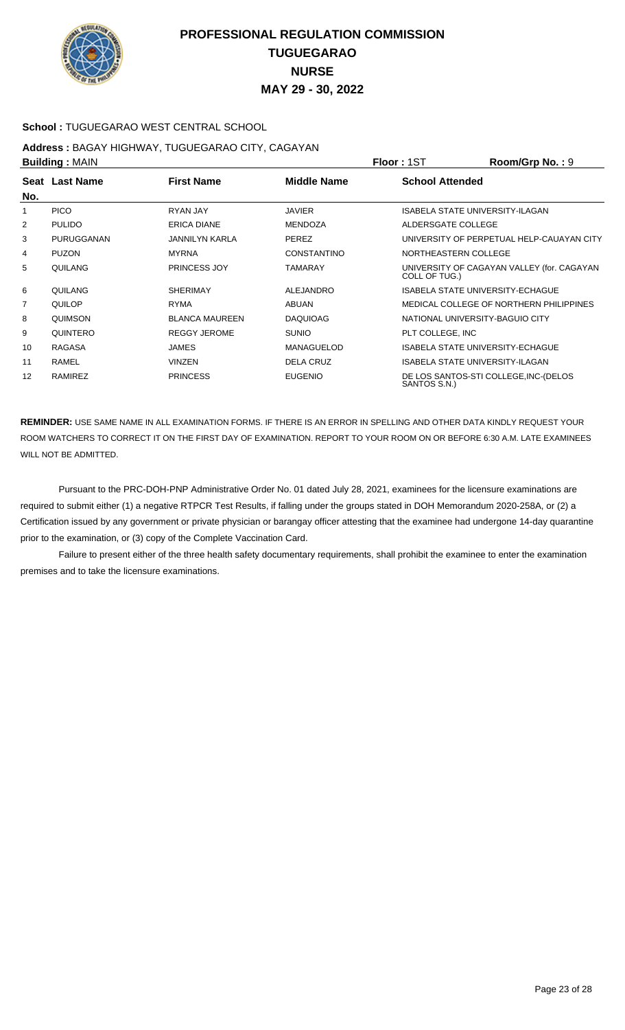

## **School :** TUGUEGARAO WEST CENTRAL SCHOOL

#### **Address :** BAGAY HIGHWAY, TUGUEGARAO CITY, CAGAYAN **Building :** MAIN **Floor :** 1ST **Room/Grp No. :** 9

|                | <b>DURUBY ANTILY</b> |                       |                    | .                      | 110011110111101110111                      |
|----------------|----------------------|-----------------------|--------------------|------------------------|--------------------------------------------|
|                | Seat Last Name       | <b>First Name</b>     | <b>Middle Name</b> | <b>School Attended</b> |                                            |
| No.            |                      |                       |                    |                        |                                            |
| 1              | <b>PICO</b>          | <b>RYAN JAY</b>       | <b>JAVIER</b>      |                        | ISABELA STATE UNIVERSITY-ILAGAN            |
| 2              | <b>PULIDO</b>        | ERICA DIANE           | <b>MENDOZA</b>     | ALDERSGATE COLLEGE     |                                            |
| 3              | PURUGGANAN           | <b>JANNILYN KARLA</b> | <b>PEREZ</b>       |                        | UNIVERSITY OF PERPETUAL HELP-CAUAYAN CITY  |
| 4              | <b>PUZON</b>         | <b>MYRNA</b>          | <b>CONSTANTINO</b> | NORTHEASTERN COLLEGE   |                                            |
| 5              | QUILANG              | <b>PRINCESS JOY</b>   | <b>TAMARAY</b>     | COLL OF TUG.)          | UNIVERSITY OF CAGAYAN VALLEY (for. CAGAYAN |
| 6              | QUILANG              | <b>SHERIMAY</b>       | ALEJANDRO          |                        | ISABELA STATE UNIVERSITY-ECHAGUE           |
| $\overline{7}$ | QUILOP               | <b>RYMA</b>           | <b>ABUAN</b>       |                        | MEDICAL COLLEGE OF NORTHERN PHILIPPINES    |
| 8              | <b>QUIMSON</b>       | <b>BLANCA MAUREEN</b> | <b>DAQUIOAG</b>    |                        | NATIONAL UNIVERSITY-BAGUIO CITY            |
| 9              | QUINTERO             | <b>REGGY JEROME</b>   | <b>SUNIO</b>       | PLT COLLEGE, INC       |                                            |
| 10             | <b>RAGASA</b>        | <b>JAMES</b>          | <b>MANAGUELOD</b>  |                        | ISABELA STATE UNIVERSITY-ECHAGUE           |
| 11             | <b>RAMEL</b>         | <b>VINZEN</b>         | <b>DELA CRUZ</b>   |                        | <b>ISABELA STATE UNIVERSITY-ILAGAN</b>     |
| 12             | RAMIREZ              | <b>PRINCESS</b>       | <b>EUGENIO</b>     | SANTOS S.N.)           | DE LOS SANTOS-STI COLLEGE, INC-(DELOS      |

**REMINDER:** USE SAME NAME IN ALL EXAMINATION FORMS. IF THERE IS AN ERROR IN SPELLING AND OTHER DATA KINDLY REQUEST YOUR ROOM WATCHERS TO CORRECT IT ON THE FIRST DAY OF EXAMINATION. REPORT TO YOUR ROOM ON OR BEFORE 6:30 A.M. LATE EXAMINEES WILL NOT BE ADMITTED.

 Pursuant to the PRC-DOH-PNP Administrative Order No. 01 dated July 28, 2021, examinees for the licensure examinations are required to submit either (1) a negative RTPCR Test Results, if falling under the groups stated in DOH Memorandum 2020-258A, or (2) a Certification issued by any government or private physician or barangay officer attesting that the examinee had undergone 14-day quarantine prior to the examination, or (3) copy of the Complete Vaccination Card.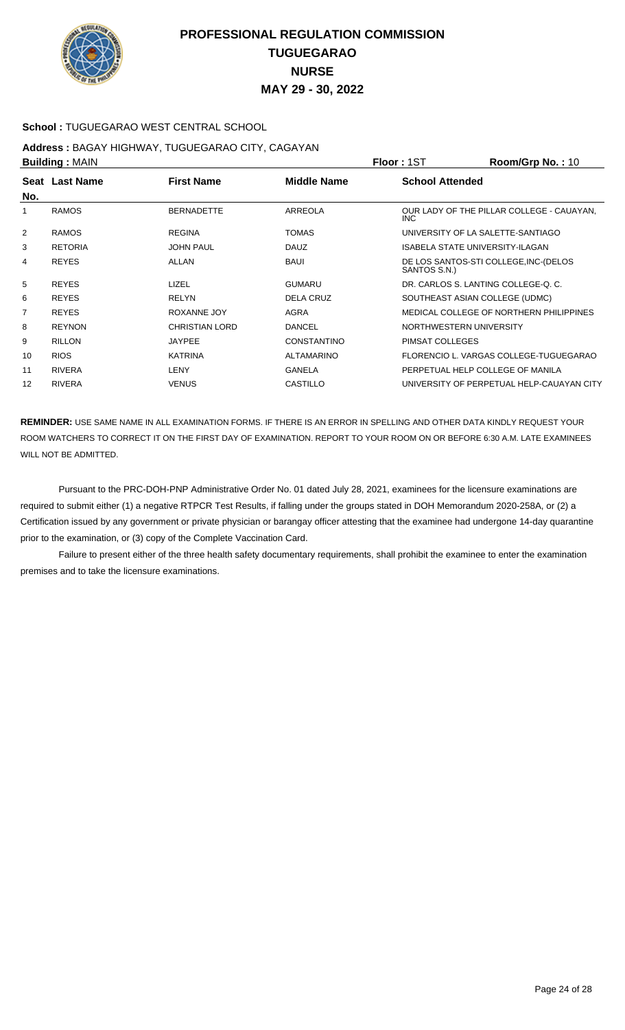

### **School :** TUGUEGARAO WEST CENTRAL SCHOOL

#### **Address :** BAGAY HIGHWAY, TUGUEGARAO CITY, CAGAYAN **Building :** MAIN **Floor :** 1ST **Room/Grp No. :** 10

| P   |                |                       | ו טיו. וטשו        |                                 |                                           |
|-----|----------------|-----------------------|--------------------|---------------------------------|-------------------------------------------|
| No. | Seat Last Name | <b>First Name</b>     | Middle Name        | <b>School Attended</b>          |                                           |
| 1   | <b>RAMOS</b>   | <b>BERNADETTE</b>     | ARREOLA            | INC.                            | OUR LADY OF THE PILLAR COLLEGE - CAUAYAN. |
| 2   | <b>RAMOS</b>   | <b>REGINA</b>         | <b>TOMAS</b>       |                                 | UNIVERSITY OF LA SALETTE-SANTIAGO         |
| 3   | <b>RETORIA</b> | <b>JOHN PAUL</b>      | <b>DAUZ</b>        | ISABELA STATE UNIVERSITY-ILAGAN |                                           |
| 4   | <b>REYES</b>   | <b>ALLAN</b>          | <b>BAUI</b>        | SANTOS S.N.)                    | DE LOS SANTOS-STI COLLEGE, INC-(DELOS     |
| 5   | <b>REYES</b>   | <b>LIZEL</b>          | <b>GUMARU</b>      |                                 | DR. CARLOS S. LANTING COLLEGE-O. C.       |
| 6   | <b>REYES</b>   | <b>RELYN</b>          | <b>DELA CRUZ</b>   |                                 | SOUTHEAST ASIAN COLLEGE (UDMC)            |
| 7   | <b>REYES</b>   | ROXANNE JOY           | AGRA               |                                 | MEDICAL COLLEGE OF NORTHERN PHILIPPINES   |
| 8   | <b>REYNON</b>  | <b>CHRISTIAN LORD</b> | <b>DANCEL</b>      | NORTHWESTERN UNIVERSITY         |                                           |
| 9   | <b>RILLON</b>  | <b>JAYPEE</b>         | <b>CONSTANTINO</b> | PIMSAT COLLEGES                 |                                           |
| 10  | <b>RIOS</b>    | <b>KATRINA</b>        | <b>ALTAMARINO</b>  |                                 | FLORENCIO L. VARGAS COLLEGE-TUGUEGARAO    |
| 11  | <b>RIVERA</b>  | LENY                  | GANELA             |                                 | PERPETUAL HELP COLLEGE OF MANILA          |
| 12  | <b>RIVERA</b>  | <b>VENUS</b>          | CASTILLO           |                                 | UNIVERSITY OF PERPETUAL HELP-CAUAYAN CITY |

**REMINDER:** USE SAME NAME IN ALL EXAMINATION FORMS. IF THERE IS AN ERROR IN SPELLING AND OTHER DATA KINDLY REQUEST YOUR ROOM WATCHERS TO CORRECT IT ON THE FIRST DAY OF EXAMINATION. REPORT TO YOUR ROOM ON OR BEFORE 6:30 A.M. LATE EXAMINEES WILL NOT BE ADMITTED.

 Pursuant to the PRC-DOH-PNP Administrative Order No. 01 dated July 28, 2021, examinees for the licensure examinations are required to submit either (1) a negative RTPCR Test Results, if falling under the groups stated in DOH Memorandum 2020-258A, or (2) a Certification issued by any government or private physician or barangay officer attesting that the examinee had undergone 14-day quarantine prior to the examination, or (3) copy of the Complete Vaccination Card.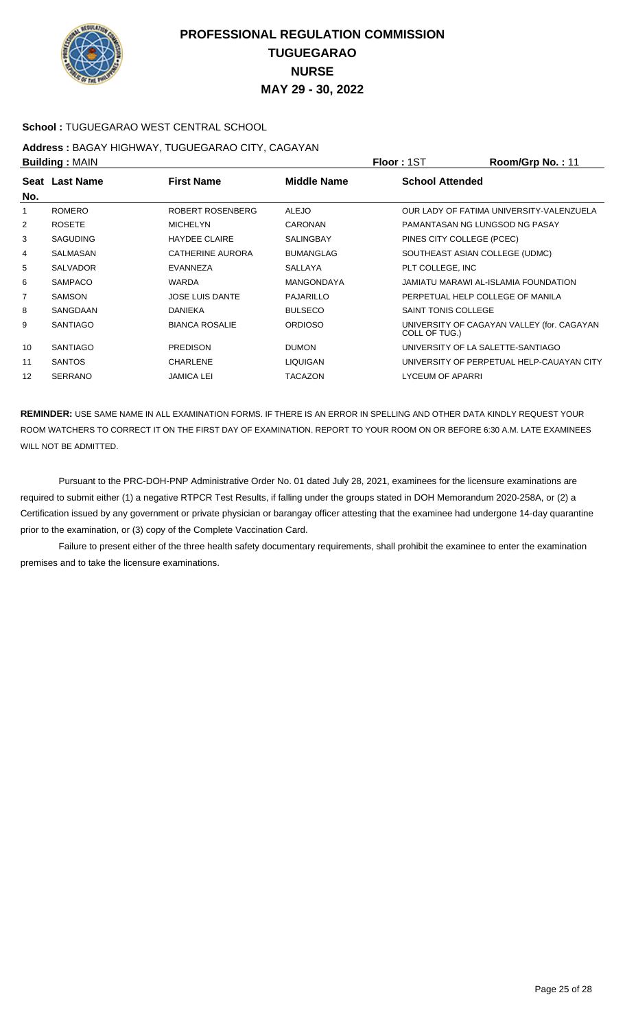

## **School :** TUGUEGARAO WEST CENTRAL SCHOOL

#### **Address :** BAGAY HIGHWAY, TUGUEGARAO CITY, CAGAYAN **Building :** MAIN **Floor :** 1ST **Room/Grp No. :** 11

|                | рининги тип шт  |                         |                   |                                                             |
|----------------|-----------------|-------------------------|-------------------|-------------------------------------------------------------|
| No.            | Seat Last Name  | <b>First Name</b>       | Middle Name       | <b>School Attended</b>                                      |
|                | <b>ROMERO</b>   | ROBERT ROSENBERG        | <b>ALEJO</b>      | OUR LADY OF FATIMA UNIVERSITY-VALENZUELA                    |
| 2              | <b>ROSETE</b>   | <b>MICHELYN</b>         | <b>CARONAN</b>    | PAMANTASAN NG LUNGSOD NG PASAY                              |
| 3              | <b>SAGUDING</b> | <b>HAYDEE CLAIRE</b>    | <b>SALINGBAY</b>  | PINES CITY COLLEGE (PCEC)                                   |
| 4              | SALMASAN        | <b>CATHERINE AURORA</b> | <b>BUMANGLAG</b>  | SOUTHEAST ASIAN COLLEGE (UDMC)                              |
| 5              | <b>SALVADOR</b> | EVANNEZA                | SALLAYA           | PLT COLLEGE. INC                                            |
| 6              | <b>SAMPACO</b>  | <b>WARDA</b>            | <b>MANGONDAYA</b> | JAMIATU MARAWI AL-ISLAMIA FOUNDATION                        |
| $\overline{7}$ | <b>SAMSON</b>   | <b>JOSE LUIS DANTE</b>  | <b>PAJARILLO</b>  | PERPETUAL HELP COLLEGE OF MANILA                            |
| 8              | SANGDAAN        | <b>DANIEKA</b>          | <b>BULSECO</b>    | SAINT TONIS COLLEGE                                         |
| 9              | <b>SANTIAGO</b> | <b>BIANCA ROSALIE</b>   | <b>ORDIOSO</b>    | UNIVERSITY OF CAGAYAN VALLEY (for. CAGAYAN<br>COLL OF TUG.) |
| 10             | <b>SANTIAGO</b> | <b>PREDISON</b>         | <b>DUMON</b>      | UNIVERSITY OF LA SALETTE-SANTIAGO                           |
| 11             | <b>SANTOS</b>   | <b>CHARLENE</b>         | <b>LIQUIGAN</b>   | UNIVERSITY OF PERPETUAL HELP-CAUAYAN CITY                   |
| 12             | <b>SERRANO</b>  | <b>JAMICA LEI</b>       | <b>TACAZON</b>    | LYCEUM OF APARRI                                            |
|                |                 |                         |                   |                                                             |

**REMINDER:** USE SAME NAME IN ALL EXAMINATION FORMS. IF THERE IS AN ERROR IN SPELLING AND OTHER DATA KINDLY REQUEST YOUR ROOM WATCHERS TO CORRECT IT ON THE FIRST DAY OF EXAMINATION. REPORT TO YOUR ROOM ON OR BEFORE 6:30 A.M. LATE EXAMINEES WILL NOT BE ADMITTED.

 Pursuant to the PRC-DOH-PNP Administrative Order No. 01 dated July 28, 2021, examinees for the licensure examinations are required to submit either (1) a negative RTPCR Test Results, if falling under the groups stated in DOH Memorandum 2020-258A, or (2) a Certification issued by any government or private physician or barangay officer attesting that the examinee had undergone 14-day quarantine prior to the examination, or (3) copy of the Complete Vaccination Card.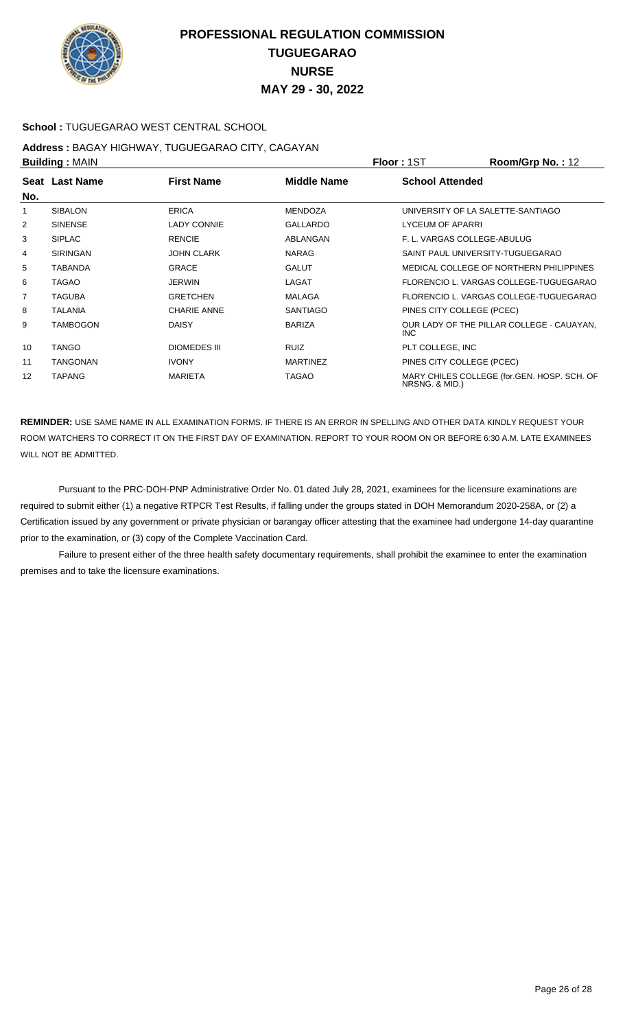

## **School :** TUGUEGARAO WEST CENTRAL SCHOOL

#### **Address :** BAGAY HIGHWAY, TUGUEGARAO CITY, CAGAYAN **Building :** MAIN **Floor :** 1ST **Room/Grp No. :** 12

|     | ранашу гилиг    |                     |                 | .                                                             |
|-----|-----------------|---------------------|-----------------|---------------------------------------------------------------|
| No. | Seat Last Name  | <b>First Name</b>   | Middle Name     | <b>School Attended</b>                                        |
| 1   | <b>SIBALON</b>  | <b>ERICA</b>        | <b>MENDOZA</b>  | UNIVERSITY OF LA SALETTE-SANTIAGO                             |
| 2   | <b>SINENSE</b>  | <b>LADY CONNIE</b>  | <b>GALLARDO</b> | LYCEUM OF APARRI                                              |
| 3   | <b>SIPLAC</b>   | <b>RENCIE</b>       | ABLANGAN        | F. L. VARGAS COLLEGE-ABULUG                                   |
| 4   | <b>SIRINGAN</b> | <b>JOHN CLARK</b>   | <b>NARAG</b>    | SAINT PAUL UNIVERSITY-TUGUEGARAO                              |
| 5   | TABANDA         | <b>GRACE</b>        | <b>GALUT</b>    | MEDICAL COLLEGE OF NORTHERN PHILIPPINES                       |
| 6   | <b>TAGAO</b>    | <b>JERWIN</b>       | <b>LAGAT</b>    | FLORENCIO L. VARGAS COLLEGE-TUGUEGARAO                        |
| 7   | TAGUBA          | <b>GRETCHEN</b>     | <b>MALAGA</b>   | FLORENCIO L. VARGAS COLLEGE-TUGUEGARAO                        |
| 8   | <b>TALANIA</b>  | <b>CHARIE ANNE</b>  | <b>SANTIAGO</b> | PINES CITY COLLEGE (PCEC)                                     |
| 9   | <b>TAMBOGON</b> | <b>DAISY</b>        | <b>BARIZA</b>   | OUR LADY OF THE PILLAR COLLEGE - CAUAYAN.<br>INC              |
| 10  | TANGO           | <b>DIOMEDES III</b> | <b>RUIZ</b>     | PLT COLLEGE, INC                                              |
| 11  | <b>TANGONAN</b> | <b>IVONY</b>        | <b>MARTINEZ</b> | PINES CITY COLLEGE (PCEC)                                     |
| 12  | <b>TAPANG</b>   | <b>MARIETA</b>      | TAGAO           | MARY CHILES COLLEGE (for.GEN. HOSP. SCH. OF<br>NRSNG. & MID.) |

**REMINDER:** USE SAME NAME IN ALL EXAMINATION FORMS. IF THERE IS AN ERROR IN SPELLING AND OTHER DATA KINDLY REQUEST YOUR ROOM WATCHERS TO CORRECT IT ON THE FIRST DAY OF EXAMINATION. REPORT TO YOUR ROOM ON OR BEFORE 6:30 A.M. LATE EXAMINEES WILL NOT BE ADMITTED.

 Pursuant to the PRC-DOH-PNP Administrative Order No. 01 dated July 28, 2021, examinees for the licensure examinations are required to submit either (1) a negative RTPCR Test Results, if falling under the groups stated in DOH Memorandum 2020-258A, or (2) a Certification issued by any government or private physician or barangay officer attesting that the examinee had undergone 14-day quarantine prior to the examination, or (3) copy of the Complete Vaccination Card.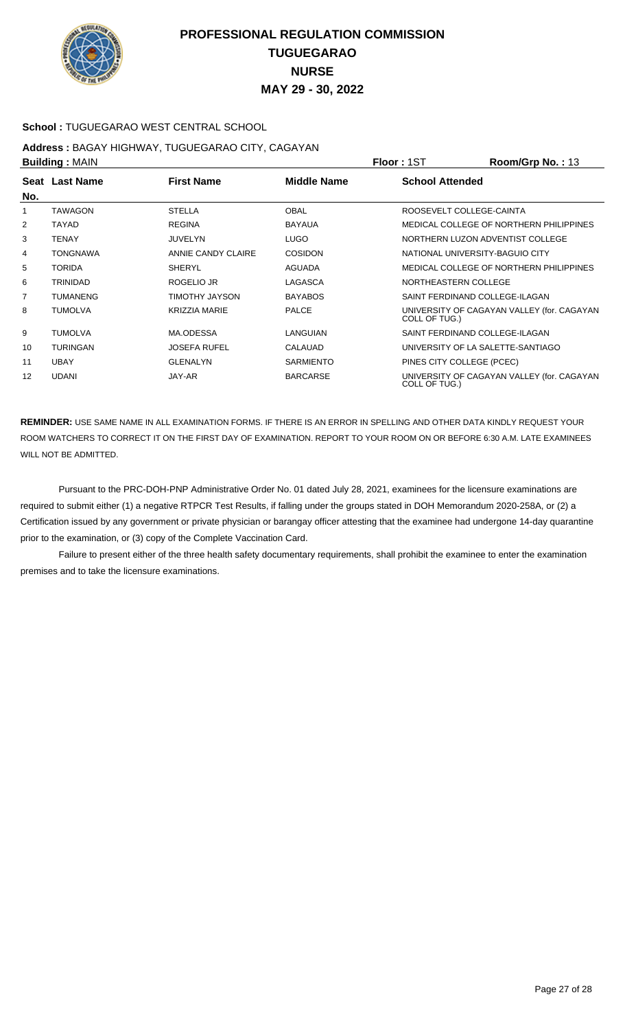

## **School :** TUGUEGARAO WEST CENTRAL SCHOOL

#### **Address :** BAGAY HIGHWAY, TUGUEGARAO CITY, CAGAYAN **Building :** MAIN **Floor :** 1ST **Room/Grp No. :** 13

|     | <b>Punding.</b> WATER |                      |                    | .<br>1100111101111011110111                                 |
|-----|-----------------------|----------------------|--------------------|-------------------------------------------------------------|
| No. | Seat Last Name        | <b>First Name</b>    | <b>Middle Name</b> | <b>School Attended</b>                                      |
| 1   | <b>TAWAGON</b>        | <b>STELLA</b>        | <b>OBAL</b>        | ROOSEVELT COLLEGE-CAINTA                                    |
| 2   | TAYAD                 | <b>REGINA</b>        | <b>BAYAUA</b>      | MEDICAL COLLEGE OF NORTHERN PHILIPPINES                     |
| 3   | <b>TENAY</b>          | <b>JUVELYN</b>       | <b>LUGO</b>        | NORTHERN LUZON ADVENTIST COLLEGE                            |
| 4   | <b>TONGNAWA</b>       | ANNIE CANDY CLAIRE   | <b>COSIDON</b>     | NATIONAL UNIVERSITY-BAGUIO CITY                             |
| 5   | <b>TORIDA</b>         | <b>SHERYL</b>        | <b>AGUADA</b>      | MEDICAL COLLEGE OF NORTHERN PHILIPPINES                     |
| 6   | <b>TRINIDAD</b>       | ROGELIO JR           | LAGASCA            | NORTHEASTERN COLLEGE                                        |
| 7   | TUMANENG              | TIMOTHY JAYSON       | <b>BAYABOS</b>     | SAINT FERDINAND COLLEGE-ILAGAN                              |
| 8   | <b>TUMOLVA</b>        | <b>KRIZZIA MARIE</b> | <b>PALCE</b>       | UNIVERSITY OF CAGAYAN VALLEY (for. CAGAYAN<br>COLL OF TUG.) |
| 9   | <b>TUMOLVA</b>        | MA.ODESSA            | LANGUIAN           | SAINT FERDINAND COLLEGE-ILAGAN                              |
| 10  | TURINGAN              | <b>JOSEFA RUFEL</b>  | CALAUAD            | UNIVERSITY OF LA SALETTE-SANTIAGO                           |
| 11  | <b>UBAY</b>           | <b>GLENALYN</b>      | <b>SARMIENTO</b>   | PINES CITY COLLEGE (PCEC)                                   |
| 12  | <b>UDANI</b>          | JAY-AR               | <b>BARCARSE</b>    | UNIVERSITY OF CAGAYAN VALLEY (for. CAGAYAN<br>COLL OF TUG.) |

**REMINDER:** USE SAME NAME IN ALL EXAMINATION FORMS. IF THERE IS AN ERROR IN SPELLING AND OTHER DATA KINDLY REQUEST YOUR ROOM WATCHERS TO CORRECT IT ON THE FIRST DAY OF EXAMINATION. REPORT TO YOUR ROOM ON OR BEFORE 6:30 A.M. LATE EXAMINEES WILL NOT BE ADMITTED.

 Pursuant to the PRC-DOH-PNP Administrative Order No. 01 dated July 28, 2021, examinees for the licensure examinations are required to submit either (1) a negative RTPCR Test Results, if falling under the groups stated in DOH Memorandum 2020-258A, or (2) a Certification issued by any government or private physician or barangay officer attesting that the examinee had undergone 14-day quarantine prior to the examination, or (3) copy of the Complete Vaccination Card.